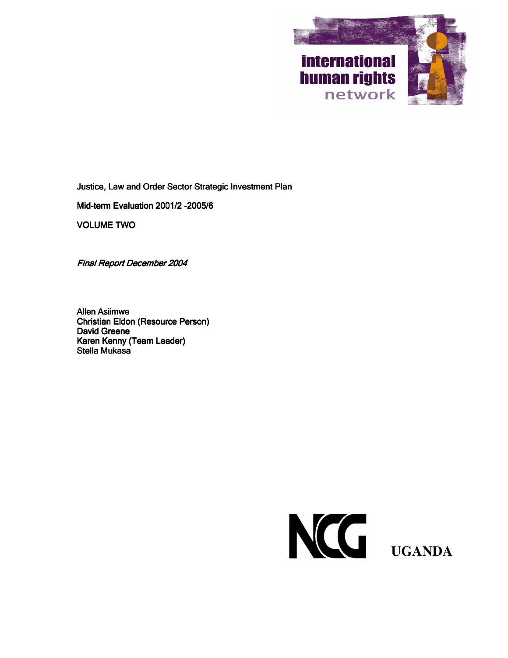

Justice, Law and Order Sector Strategic Investment Plan

Mid-term Evaluation 2001/2 -2005/6

**VOLUME TWO** 

**Final Report December 2004** 

**Allen Asiimwe Christian Eldon (Resource Person) David Greene** Karen Kenny (Team Leader) **Stella Mukasa** 

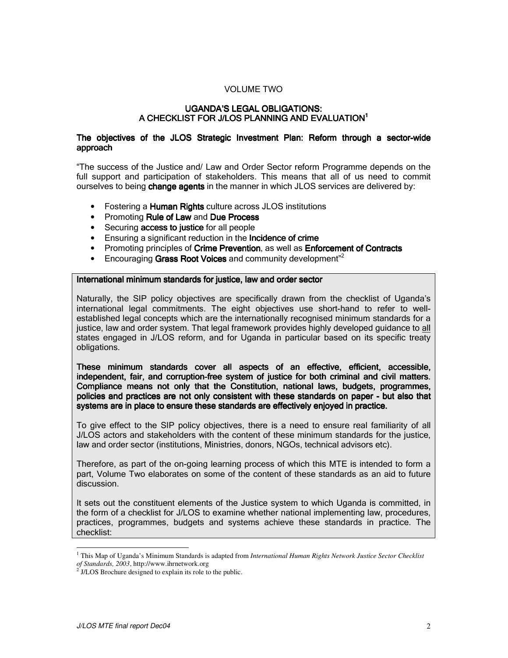# **VOLUME TWO**

### **UGANDA'S LEGAL OBLIGATIONS:** A CHECKLIST FOR J/LOS PLANNING AND EVALUATION<sup>1</sup>

### The objectives of the JLOS Strategic Investment Plan: Reform through a sector-wide approach

"The success of the Justice and/ Law and Order Sector reform Programme depends on the full support and participation of stakeholders. This means that all of us need to commit ourselves to being change agents in the manner in which JLOS services are delivered by:

- Fostering a Human Rights culture across JLOS institutions
- Promoting Rule of Law and Due Process
- Securing access to justice for all people
- Ensuring a significant reduction in the Incidence of crime
- Promoting principles of Crime Prevention, as well as Enforcement of Contracts
- Encouraging Grass Root Voices and community development $^{2}$

#### International minimum standards for justice, law and order sector

Naturally, the SIP policy objectives are specifically drawn from the checklist of Uganda's international legal commitments. The eight objectives use short-hand to refer to wellestablished legal concepts which are the internationally recognised minimum standards for a justice, law and order system. That legal framework provides highly developed guidance to all states engaged in J/LOS reform, and for Uganda in particular based on its specific treaty obligations.

These minimum standards cover all aspects of an effective, efficient, accessible, independent, fair, and corruption-free system of justice for both criminal and civil matters. Compliance means not only that the Constitution, national laws, budgets, programmes, policies and practices are not only consistent with these standards on paper - but also that systems are in place to ensure these standards are effectively enjoyed in practice.

To give effect to the SIP policy objectives, there is a need to ensure real familiarity of all J/LOS actors and stakeholders with the content of these minimum standards for the justice, law and order sector (institutions, Ministries, donors, NGOs, technical advisors etc).

Therefore, as part of the on-going learning process of which this MTE is intended to form a part. Volume Two elaborates on some of the content of these standards as an aid to future discussion.

It sets out the constituent elements of the Justice system to which Uganda is committed, in the form of a checklist for J/LOS to examine whether national implementing law, procedures, practices, programmes, budgets and systems achieve these standards in practice. The checklist:

 $1$  This Map of Uganda's Minimum Standards is adapted from International Human Rights Network Justice Sector Checklist of Standards, 2003, http://www.ihrnetwork.org

 $2^{2}$  J/LOS Brochure designed to explain its role to the public.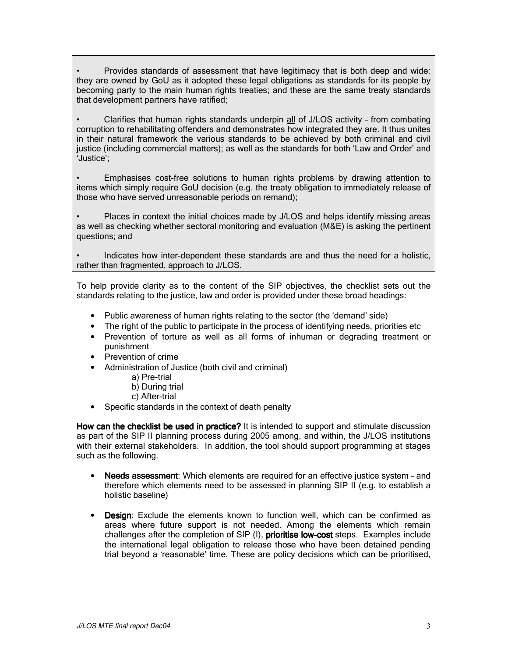Provides standards of assessment that have legitimacy that is both deep and wide: they are owned by GoU as it adopted these legal obligations as standards for its people by becoming party to the main human rights treaties; and these are the same treaty standards that development partners have ratified;

Clarifies that human rights standards underpin all of J/LOS activity - from combating corruption to rehabilitating offenders and demonstrates how integrated they are. It thus unites in their natural framework the various standards to be achieved by both criminal and civil justice (including commercial matters); as well as the standards for both 'Law and Order' and 'Justice':

Emphasises cost-free solutions to human rights problems by drawing attention to items which simply require GoU decision (e.g. the treaty obligation to immediately release of those who have served unreasonable periods on remand);

Places in context the initial choices made by J/LOS and helps identify missing areas as well as checking whether sectoral monitoring and evaluation (M&E) is asking the pertinent questions; and

Indicates how inter-dependent these standards are and thus the need for a holistic, rather than fragmented, approach to J/LOS.

To help provide clarity as to the content of the SIP objectives, the checklist sets out the standards relating to the justice, law and order is provided under these broad headings:

- Public awareness of human rights relating to the sector (the 'demand' side)
- The right of the public to participate in the process of identifying needs, priorities etc
- Prevention of torture as well as all forms of inhuman or degrading treatment or punishment
- Prevention of crime
- Administration of Justice (both civil and criminal)
	- a) Pre-trial
	- b) During trial
	- c) After-trial
- Specific standards in the context of death penalty

How can the checklist be used in practice? It is intended to support and stimulate discussion as part of the SIP II planning process during 2005 among, and within, the J/LOS institutions with their external stakeholders. In addition, the tool should support programming at stages such as the following.

- Needs assessment: Which elements are required for an effective justice system and  $\bullet$ therefore which elements need to be assessed in planning SIP II (e.g. to establish a holistic baseline)
- Design: Exclude the elements known to function well, which can be confirmed as areas where future support is not needed. Among the elements which remain challenges after the completion of SIP (I), prioritise low-cost steps. Examples include the international legal obligation to release those who have been detained pending trial beyond a 'reasonable' time. These are policy decisions which can be prioritised,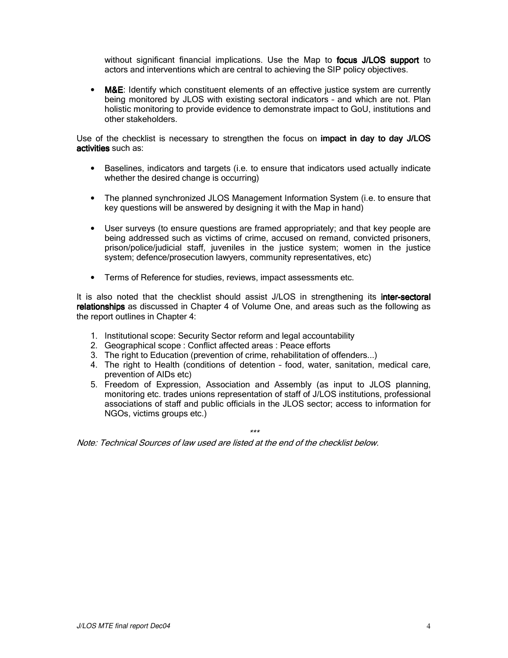without significant financial implications. Use the Map to focus J/LOS support to actors and interventions which are central to achieving the SIP policy objectives.

• M&E: Identify which constituent elements of an effective justice system are currently being monitored by JLOS with existing sectoral indicators - and which are not. Plan holistic monitoring to provide evidence to demonstrate impact to GoU, institutions and other stakeholders.

Use of the checklist is necessary to strengthen the focus on **impact in day to day J/LOS** activities such as:

- Baselines, indicators and targets (i.e. to ensure that indicators used actually indicate whether the desired change is occurring)
- The planned synchronized JLOS Management Information System (i.e. to ensure that key questions will be answered by designing it with the Map in hand)
- User surveys (to ensure questions are framed appropriately; and that key people are being addressed such as victims of crime, accused on remand, convicted prisoners, prison/police/judicial staff, juveniles in the justice system; women in the justice system; defence/prosecution lawyers, community representatives, etc)
- Terms of Reference for studies, reviews, impact assessments etc.

It is also noted that the checklist should assist J/LOS in strengthening its inter-sectoral relationships as discussed in Chapter 4 of Volume One, and areas such as the following as the report outlines in Chapter 4:

- 1. Institutional scope: Security Sector reform and legal accountability
- 2. Geographical scope: Conflict affected areas: Peace efforts
- 3. The right to Education (prevention of crime, rehabilitation of offenders...)
- 4. The right to Health (conditions of detention food, water, sanitation, medical care, prevention of AIDs etc)
- 5. Freedom of Expression, Association and Assembly (as input to JLOS planning, monitoring etc. trades unions representation of staff of J/LOS institutions, professional associations of staff and public officials in the JLOS sector: access to information for NGOs, victims groups etc.)

 $+ + +$ 

Note: Technical Sources of law used are listed at the end of the checklist below.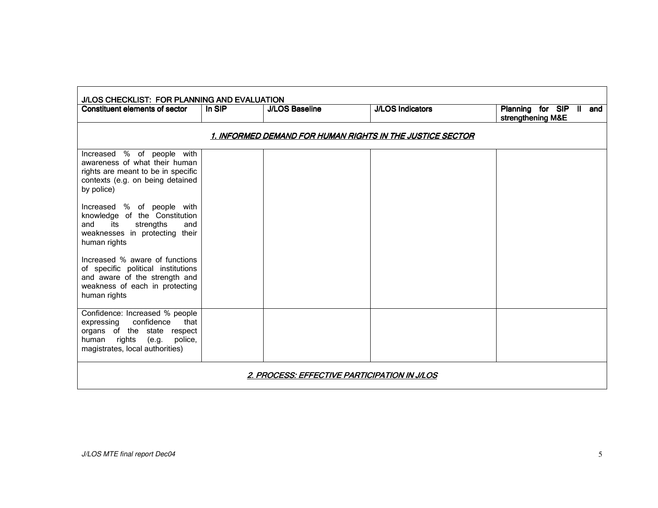| J/LOS CHECKLIST: FOR PLANNING AND EVALUATION                                                                                                                             |                                                           |                       |                         |                                              |  |  |
|--------------------------------------------------------------------------------------------------------------------------------------------------------------------------|-----------------------------------------------------------|-----------------------|-------------------------|----------------------------------------------|--|--|
| Constituent elements of sector                                                                                                                                           | In SIP                                                    | <b>J/LOS Baseline</b> | <b>J/LOS Indicators</b> | Planning for SIP II and<br>strengthening M&E |  |  |
|                                                                                                                                                                          | 1. INFORMED DEMAND FOR HUMAN RIGHTS IN THE JUSTICE SECTOR |                       |                         |                                              |  |  |
| Increased % of people with<br>awareness of what their human<br>rights are meant to be in specific<br>contexts (e.g. on being detained<br>by police)                      |                                                           |                       |                         |                                              |  |  |
| Increased % of people with<br>knowledge of the Constitution<br>its<br>strengths<br>and<br>and<br>weaknesses in protecting their<br>human rights                          |                                                           |                       |                         |                                              |  |  |
| Increased % aware of functions<br>of specific political institutions<br>and aware of the strength and<br>weakness of each in protecting<br>human rights                  |                                                           |                       |                         |                                              |  |  |
| Confidence: Increased % people<br>confidence<br>expressing<br>that<br>organs of the state respect<br>human rights<br>police,<br>(e.g.<br>magistrates, local authorities) |                                                           |                       |                         |                                              |  |  |
| <u> 2. PROCESS: EFFECTIVE PARTICIPATION IN J/LOS</u>                                                                                                                     |                                                           |                       |                         |                                              |  |  |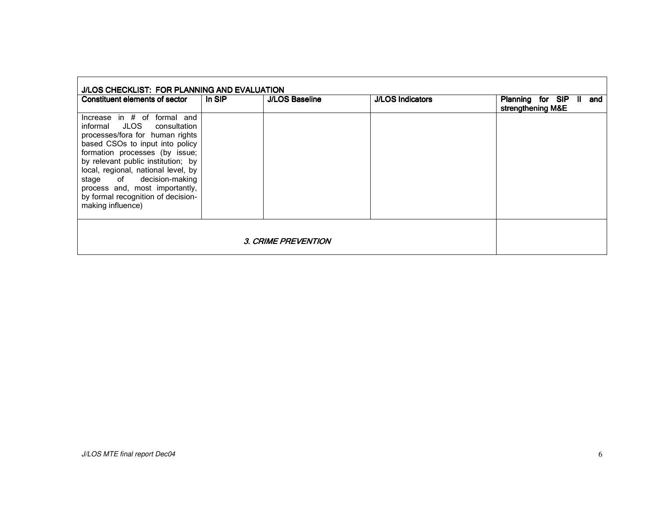| J/LOS CHECKLIST: FOR PLANNING AND EVALUATION                                                                                                                                                                                                                                                                                                                              |        |                       |                         |                                                      |  |
|---------------------------------------------------------------------------------------------------------------------------------------------------------------------------------------------------------------------------------------------------------------------------------------------------------------------------------------------------------------------------|--------|-----------------------|-------------------------|------------------------------------------------------|--|
| Constituent elements of sector                                                                                                                                                                                                                                                                                                                                            | In SIP | <b>J/LOS Baseline</b> | <b>J/LOS Indicators</b> | Planning for SIP<br>- 11<br>and<br>strengthening M&E |  |
| Increase in $#$ of formal and<br>informal JLOS consultation<br>processes/fora for human rights<br>based CSOs to input into policy<br>formation processes (by issue;<br>by relevant public institution; by<br>local, regional, national level, by<br>stage of decision-making<br>process and, most importantly,<br>by formal recognition of decision-<br>making influence) |        |                       |                         |                                                      |  |
|                                                                                                                                                                                                                                                                                                                                                                           |        |                       |                         |                                                      |  |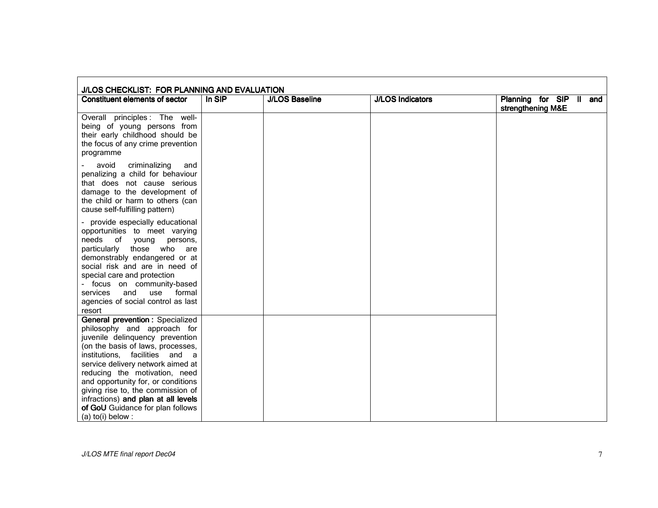| J/LOS CHECKLIST: FOR PLANNING AND EVALUATION                                                                                                                                                                                                                                                                                                                                                                              |        |                       |                         |                                              |
|---------------------------------------------------------------------------------------------------------------------------------------------------------------------------------------------------------------------------------------------------------------------------------------------------------------------------------------------------------------------------------------------------------------------------|--------|-----------------------|-------------------------|----------------------------------------------|
| <b>Constituent elements of sector</b>                                                                                                                                                                                                                                                                                                                                                                                     | In SIP | <b>J/LOS Baseline</b> | <b>J/LOS Indicators</b> | Planning for SIP II and<br>strengthening M&E |
| Overall principles: The well-<br>being of young persons from<br>their early childhood should be<br>the focus of any crime prevention<br>programme                                                                                                                                                                                                                                                                         |        |                       |                         |                                              |
| criminalizing<br>avoid<br>and<br>penalizing a child for behaviour<br>that does not cause serious<br>damage to the development of<br>the child or harm to others (can<br>cause self-fulfilling pattern)                                                                                                                                                                                                                    |        |                       |                         |                                              |
| - provide especially educational<br>opportunities to meet varying<br>needs<br>of<br>persons,<br>young<br>those who are<br>particularly<br>demonstrably endangered or at<br>social risk and are in need of<br>special care and protection<br>- focus on community-based<br>and<br>use<br>formal<br>services<br>agencies of social control as last<br>resort                                                                |        |                       |                         |                                              |
| General prevention: Specialized<br>philosophy and approach for<br>juvenile delinquency prevention<br>(on the basis of laws, processes,<br>institutions. facilities and a<br>service delivery network aimed at<br>reducing the motivation, need<br>and opportunity for, or conditions<br>giving rise to, the commission of<br>infractions) and plan at all levels<br>of GoU Guidance for plan follows<br>(a) to(i) below : |        |                       |                         |                                              |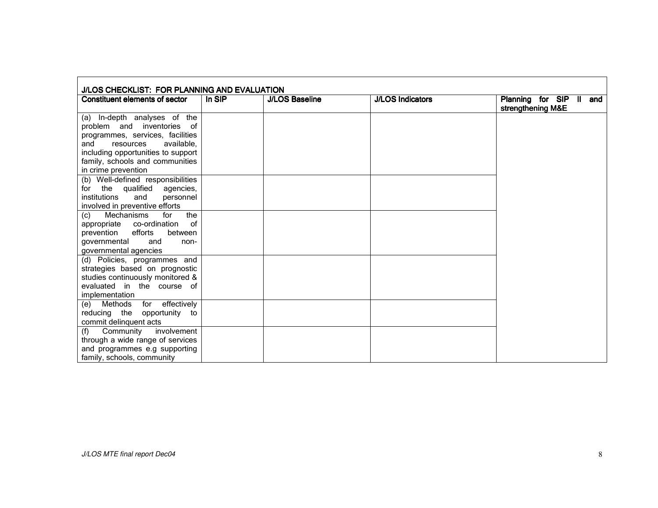| J/LOS CHECKLIST: FOR PLANNING AND EVALUATION                                                                                                                                                                                     |                     |                       |                         |                                              |
|----------------------------------------------------------------------------------------------------------------------------------------------------------------------------------------------------------------------------------|---------------------|-----------------------|-------------------------|----------------------------------------------|
| <b>Constituent elements of sector</b>                                                                                                                                                                                            | In $SI\overline{P}$ | <b>J/LOS Baseline</b> | <b>J/LOS Indicators</b> | Planning for SIP II and<br>strengthening M&E |
| (a) In-depth analyses of the<br>problem and inventories of<br>programmes, services, facilities<br>available.<br>and<br>resources<br>including opportunities to support<br>family, schools and communities<br>in crime prevention |                     |                       |                         |                                              |
| (b) Well-defined responsibilities<br>for the qualified<br>agencies,<br>institutions<br>personnel<br>and<br>involved in preventive efforts                                                                                        |                     |                       |                         |                                              |
| the<br><b>Mechanisms</b><br>for<br>(c)<br>appropriate co-ordination<br>0f<br>prevention<br>efforts<br>between<br>qovernmental<br>and<br>non-<br>governmental agencies                                                            |                     |                       |                         |                                              |
| (d) Policies, programmes and<br>strategies based on prognostic<br>studies continuously monitored &<br>evaluated in the course of<br>implementation                                                                               |                     |                       |                         |                                              |
| (e) Methods for effectively<br>reducing the opportunity to<br>commit delinquent acts                                                                                                                                             |                     |                       |                         |                                              |
| involvement<br>(f) Community<br>through a wide range of services<br>and programmes e.g supporting<br>family, schools, community                                                                                                  |                     |                       |                         |                                              |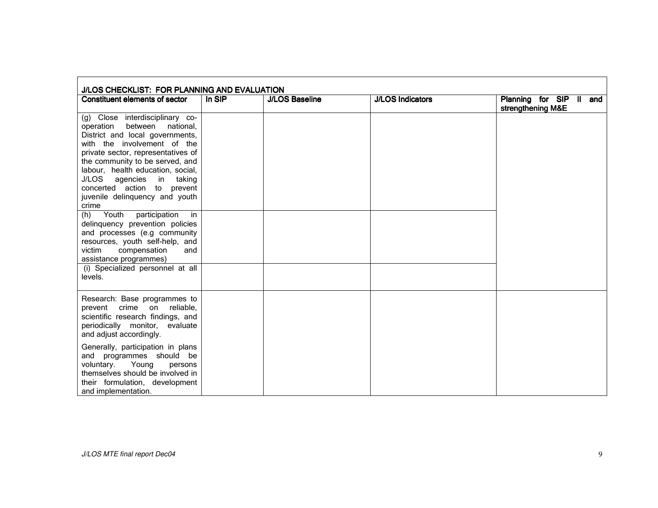| J/LOS CHECKLIST: FOR PLANNING AND EVALUATION                                                                                                                                                                                                                                                                                                                     |        |                       |                         |                                              |
|------------------------------------------------------------------------------------------------------------------------------------------------------------------------------------------------------------------------------------------------------------------------------------------------------------------------------------------------------------------|--------|-----------------------|-------------------------|----------------------------------------------|
| <b>Constituent elements of sector</b>                                                                                                                                                                                                                                                                                                                            | In SIP | <b>J/LOS Baseline</b> | <b>J/LOS Indicators</b> | Planning for SIP II and<br>strengthening M&E |
| (g) Close interdisciplinary co-<br>operation<br>between<br>national,<br>District and local governments,<br>with the involvement of the<br>private sector, representatives of<br>the community to be served, and<br>labour, health education, social,<br>J/LOS<br>agencies<br>in taking<br>concerted action to prevent<br>juvenile delinquency and youth<br>crime |        |                       |                         |                                              |
| Youth<br>participation<br>(h)<br>in.<br>delinquency prevention policies<br>and processes (e.g community<br>resources, youth self-help, and<br>compensation<br>victim<br>and<br>assistance programmes)<br>(i) Specialized personnel at all                                                                                                                        |        |                       |                         |                                              |
| levels.                                                                                                                                                                                                                                                                                                                                                          |        |                       |                         |                                              |
| Research: Base programmes to<br>crime on reliable,<br>prevent<br>scientific research findings, and<br>periodically monitor, evaluate<br>and adjust accordingly.                                                                                                                                                                                                  |        |                       |                         |                                              |
| Generally, participation in plans<br>and programmes should be<br>Young<br>voluntary.<br>persons<br>themselves should be involved in<br>their formulation, development<br>and implementation.                                                                                                                                                                     |        |                       |                         |                                              |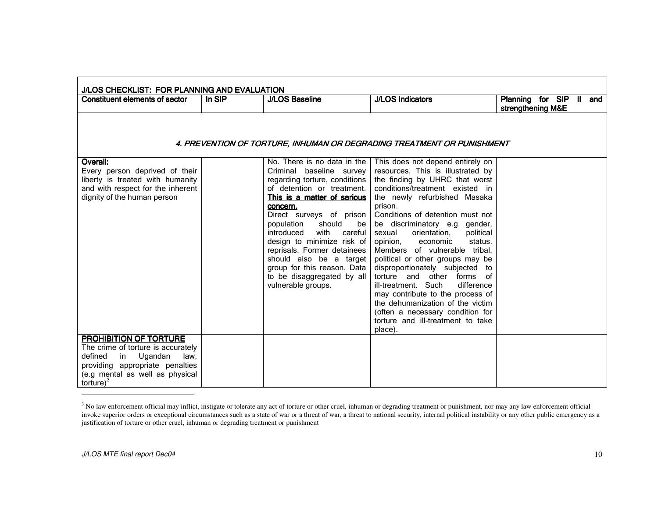| Constituent elements of sector     | In SIP | <b>J/LOS Baseline</b>                   | <b>J/LOS Indicators</b>                                                | Planning for SIP II and<br>strengthening M&E |
|------------------------------------|--------|-----------------------------------------|------------------------------------------------------------------------|----------------------------------------------|
|                                    |        |                                         | 4. PREVENTION OF TORTURE, INHUMAN OR DEGRADING TREATMENT OR PUNISHMENT |                                              |
| Overall:                           |        | No. There is no data in the I           | This does not depend entirely on                                       |                                              |
| Every person deprived of their     |        | Criminal baseline survey                | resources. This is illustrated by                                      |                                              |
| liberty is treated with humanity   |        | regarding torture, conditions           | the finding by UHRC that worst                                         |                                              |
| and with respect for the inherent  |        | of detention or treatment.              | conditions/treatment existed in                                        |                                              |
| dignity of the human person        |        | This is a matter of serious<br>concern. | the newly refurbished Masaka<br>prison.                                |                                              |
|                                    |        | Direct surveys of prison                | Conditions of detention must not                                       |                                              |
|                                    |        | should<br>population<br>be              | be discriminatory e.g gender,                                          |                                              |
|                                    |        | with<br>introduced<br>careful           | orientation,<br>political<br>sexual                                    |                                              |
|                                    |        | design to minimize risk of              | opinion,<br>economic<br>status.                                        |                                              |
|                                    |        | reprisals. Former detainees             | Members of vulnerable tribal,                                          |                                              |
|                                    |        | should also be a target                 | political or other groups may be                                       |                                              |
|                                    |        | group for this reason. Data             | disproportionately subjected to                                        |                                              |
|                                    |        | to be disaggregated by all              | torture and other<br>forms of                                          |                                              |
|                                    |        | vulnerable groups.                      | ill-treatment. Such<br>difference                                      |                                              |
|                                    |        |                                         | may contribute to the process of<br>the dehumanization of the victim   |                                              |
|                                    |        |                                         | (often a necessary condition for                                       |                                              |
|                                    |        |                                         | torture and ill-treatment to take                                      |                                              |
|                                    |        |                                         | place).                                                                |                                              |
| PROHIBITION OF TORTURE             |        |                                         |                                                                        |                                              |
| The crime of torture is accurately |        |                                         |                                                                        |                                              |
| Ugandan<br>defined<br>in<br>law,   |        |                                         |                                                                        |                                              |
| providing appropriate penalties    |        |                                         |                                                                        |                                              |
| (e.g mental as well as physical    |        |                                         |                                                                        |                                              |
| torture $)^3$                      |        |                                         |                                                                        |                                              |

<sup>&</sup>lt;sup>3</sup> No law enforcement official may inflict, instigate or tolerate any act of torture or other cruel, inhuman or degrading treatment or punishment, nor may any law enforcement official invoke superior orders or exceptional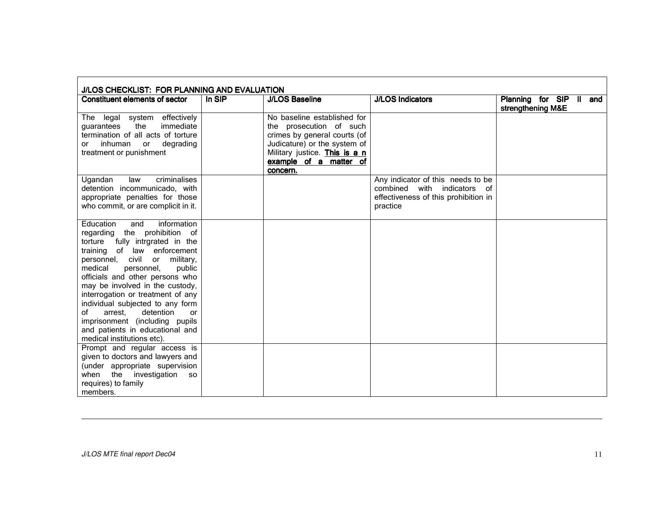| J/LOS CHECKLIST: FOR PLANNING AND EVALUATION                                                                                                                                                                                                                                                                                                                                                                                                                                                                             |        |                                                                                                                                                                                               |                                                                                                                            |                                              |
|--------------------------------------------------------------------------------------------------------------------------------------------------------------------------------------------------------------------------------------------------------------------------------------------------------------------------------------------------------------------------------------------------------------------------------------------------------------------------------------------------------------------------|--------|-----------------------------------------------------------------------------------------------------------------------------------------------------------------------------------------------|----------------------------------------------------------------------------------------------------------------------------|----------------------------------------------|
| <b>Constituent elements of sector</b>                                                                                                                                                                                                                                                                                                                                                                                                                                                                                    | In SIP | <b>J/LOS Baseline</b>                                                                                                                                                                         | <b>J/LOS Indicators</b>                                                                                                    | Planning for SIP II and<br>strengthening M&E |
| The legal system effectively<br>immediate<br>the<br>quarantees<br>termination of all acts of torture<br>inhuman<br>degrading<br>or<br>or<br>treatment or punishment                                                                                                                                                                                                                                                                                                                                                      |        | No baseline established for<br>the prosecution of such<br>crimes by general courts (of<br>Judicature) or the system of<br>Military justice. This is a n<br>example of a matter of<br>concern. |                                                                                                                            |                                              |
| $c$ riminalises<br>Ugandan<br>law<br>detention incommunicado, with<br>appropriate penalties for those<br>who commit, or are complicit in it.                                                                                                                                                                                                                                                                                                                                                                             |        |                                                                                                                                                                                               | Any indicator of this needs to be<br>combined with<br>indicators<br>of<br>effectiveness of this prohibition in<br>practice |                                              |
| information<br>Education<br>and<br>the prohibition of<br>regarding<br>fully intrgrated in the<br>torture<br>of law enforcement<br>training<br>civil<br>military,<br>personnel,<br>or<br>medical<br>personnel.<br>public<br>officials and other persons who<br>may be involved in the custody,<br>interrogation or treatment of any<br>individual subjected to any form<br>of<br>detention<br>arrest.<br><sub>or</sub><br>imprisonment (including pupils<br>and patients in educational and<br>medical institutions etc). |        |                                                                                                                                                                                               |                                                                                                                            |                                              |
| Prompt and regular access is<br>given to doctors and lawyers and<br>(under appropriate supervision<br>investigation<br>the<br>when<br><b>SO</b><br>requires) to family<br>members.                                                                                                                                                                                                                                                                                                                                       |        |                                                                                                                                                                                               |                                                                                                                            |                                              |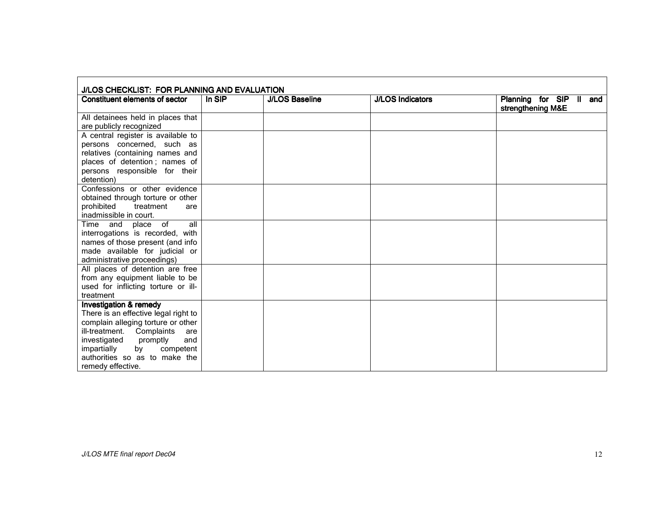| J/LOS CHECKLIST: FOR PLANNING AND EVALUATION                              |        |                       |                         |                                              |
|---------------------------------------------------------------------------|--------|-----------------------|-------------------------|----------------------------------------------|
| Constituent elements of sector                                            | In SIP | <b>J/LOS Baseline</b> | <b>J/LOS Indicators</b> | Planning for SIP II and<br>strengthening M&E |
| All detainees held in places that                                         |        |                       |                         |                                              |
| are publicly recognized                                                   |        |                       |                         |                                              |
| A central register is available to                                        |        |                       |                         |                                              |
| persons concerned, such as                                                |        |                       |                         |                                              |
| relatives (containing names and                                           |        |                       |                         |                                              |
| places of detention; names of                                             |        |                       |                         |                                              |
| persons responsible for their                                             |        |                       |                         |                                              |
| detention)                                                                |        |                       |                         |                                              |
| Confessions or other evidence                                             |        |                       |                         |                                              |
| obtained through torture or other                                         |        |                       |                         |                                              |
| prohibited<br>treatment<br>are                                            |        |                       |                         |                                              |
| inadmissible in court.                                                    |        |                       |                         |                                              |
| all<br>Time and place of                                                  |        |                       |                         |                                              |
| interrogations is recorded, with                                          |        |                       |                         |                                              |
| names of those present (and info                                          |        |                       |                         |                                              |
| made available for judicial or                                            |        |                       |                         |                                              |
| administrative proceedings)                                               |        |                       |                         |                                              |
| All places of detention are free                                          |        |                       |                         |                                              |
| from any equipment liable to be                                           |        |                       |                         |                                              |
| used for inflicting torture or ill-                                       |        |                       |                         |                                              |
| treatment                                                                 |        |                       |                         |                                              |
| <b>Investigation &amp; remedy</b><br>There is an effective legal right to |        |                       |                         |                                              |
| complain alleging torture or other                                        |        |                       |                         |                                              |
| ill-treatment. Complaints<br>are                                          |        |                       |                         |                                              |
| and<br>investigated<br>promptly                                           |        |                       |                         |                                              |
| impartially<br>by<br>competent                                            |        |                       |                         |                                              |
| authorities so as to make the                                             |        |                       |                         |                                              |
| remedy effective.                                                         |        |                       |                         |                                              |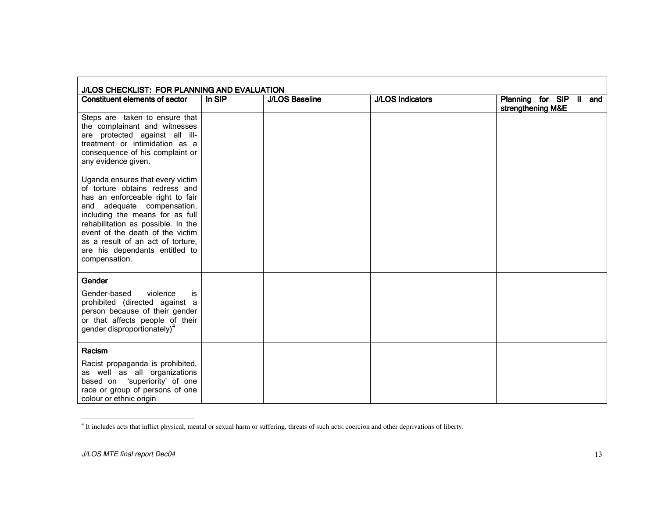| J/LOS CHECKLIST: FOR PLANNING AND EVALUATION                                                                                                                                                                                                                                                                                              |        |                       |                         |                                              |
|-------------------------------------------------------------------------------------------------------------------------------------------------------------------------------------------------------------------------------------------------------------------------------------------------------------------------------------------|--------|-----------------------|-------------------------|----------------------------------------------|
| Constituent elements of sector                                                                                                                                                                                                                                                                                                            | In SIP | <b>J/LOS Baseline</b> | <b>J/LOS Indicators</b> | Planning for SIP II and<br>strengthening M&E |
| Steps are taken to ensure that<br>the complainant and witnesses<br>are protected against all ill-<br>treatment or intimidation as a<br>consequence of his complaint or<br>any evidence given.                                                                                                                                             |        |                       |                         |                                              |
| Uganda ensures that every victim<br>of torture obtains redress and<br>has an enforceable right to fair<br>and adequate compensation,<br>including the means for as full<br>rehabilitation as possible. In the<br>event of the death of the victim<br>as a result of an act of torture,<br>are his dependants entitled to<br>compensation. |        |                       |                         |                                              |
| Gender<br>Gender-based<br>violence<br>is<br>prohibited (directed against a<br>person because of their gender<br>or that affects people of their<br>gender disproportionately) <sup>4</sup>                                                                                                                                                |        |                       |                         |                                              |
| Racism<br>Racist propaganda is prohibited,<br>as well as all organizations<br>based on 'superiority' of one<br>race or group of persons of one<br>colour or ethnic origin                                                                                                                                                                 |        |                       |                         |                                              |

<sup>&</sup>lt;sup>4</sup> It includes acts that inflict physical, mental or sexual harm or suffering, threats of such acts, coercion and other deprivations of liberty.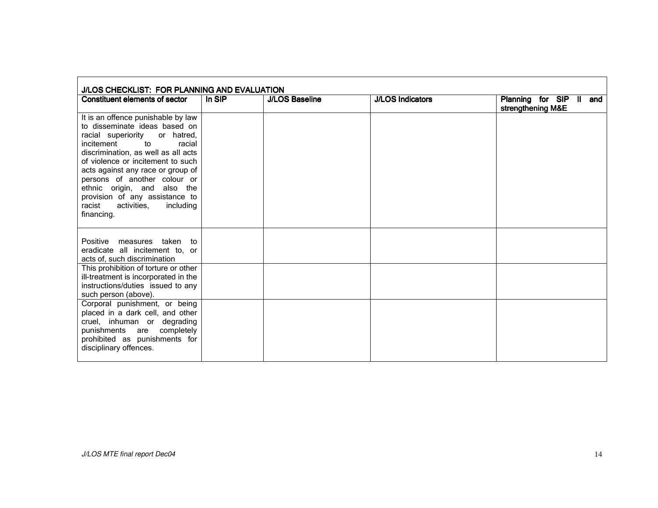| J/LOS CHECKLIST: FOR PLANNING AND EVALUATION                                                                                                                                                                                                                                                                                                                                                                |        |                       |                         |                                              |  |
|-------------------------------------------------------------------------------------------------------------------------------------------------------------------------------------------------------------------------------------------------------------------------------------------------------------------------------------------------------------------------------------------------------------|--------|-----------------------|-------------------------|----------------------------------------------|--|
| Constituent elements of sector                                                                                                                                                                                                                                                                                                                                                                              | In SIP | <b>J/LOS Baseline</b> | <b>J/LOS Indicators</b> | Planning for SIP II and<br>strengthening M&E |  |
| It is an offence punishable by law<br>to disseminate ideas based on<br>racial superiority<br>or hatred,<br>incitement<br>to<br>racial<br>discrimination, as well as all acts<br>of violence or incitement to such<br>acts against any race or group of<br>persons of another colour or<br>ethnic origin, and also the<br>provision of any assistance to<br>activities.<br>racist<br>including<br>financing. |        |                       |                         |                                              |  |
| Positive<br>measures taken to<br>eradicate all incitement to, or<br>acts of, such discrimination                                                                                                                                                                                                                                                                                                            |        |                       |                         |                                              |  |
| This prohibition of torture or other<br>ill-treatment is incorporated in the<br>instructions/duties issued to any<br>such person (above).                                                                                                                                                                                                                                                                   |        |                       |                         |                                              |  |
| Corporal punishment, or being<br>placed in a dark cell, and other<br>cruel, inhuman or degrading<br>punishments are completely<br>prohibited as punishments for<br>disciplinary offences.                                                                                                                                                                                                                   |        |                       |                         |                                              |  |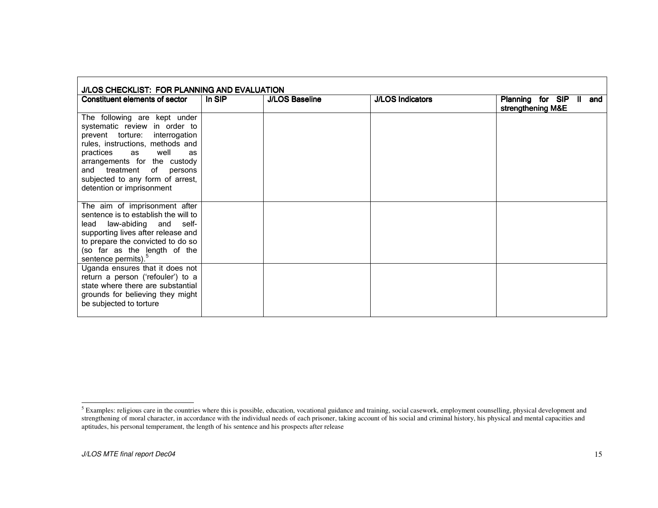| J/LOS CHECKLIST: FOR PLANNING AND EVALUATION                                                                                                                                                                                                                                                |        |                       |                         |                                              |  |
|---------------------------------------------------------------------------------------------------------------------------------------------------------------------------------------------------------------------------------------------------------------------------------------------|--------|-----------------------|-------------------------|----------------------------------------------|--|
| Constituent elements of sector                                                                                                                                                                                                                                                              | In SIP | <b>J/LOS Baseline</b> | <b>J/LOS Indicators</b> | Planning for SIP II and<br>strengthening M&E |  |
| The following are kept under<br>systematic review in order to<br>prevent torture: interrogation<br>rules, instructions, methods and<br>practices as well<br>as<br>arrangements for the custody<br>and treatment of persons<br>subjected to any form of arrest,<br>detention or imprisonment |        |                       |                         |                                              |  |
| The aim of imprisonment after<br>sentence is to establish the will to<br>lead law-abiding and self-<br>supporting lives after release and<br>to prepare the convicted to do so<br>(so far as the length of the<br>sentence permits). <sup>5</sup>                                           |        |                       |                         |                                              |  |
| Uganda ensures that it does not<br>return a person ('refouler') to a<br>state where there are substantial<br>grounds for believing they might<br>be subjected to torture                                                                                                                    |        |                       |                         |                                              |  |

<sup>&</sup>lt;sup>5</sup> Examples: religious care in the countries where this is possible, education, vocational guidance and training, social casework, employment counselling, physical development and strengthening of moral character, in acco aptitudes, his personal temperament, the length of his sentence and his prospects after release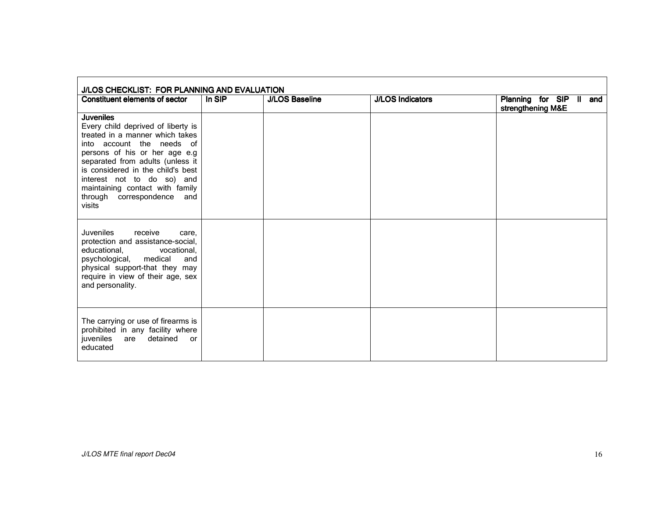| J/LOS CHECKLIST: FOR PLANNING AND EVALUATION                                                                                                                                                                                                                                                                                              |        |                       |                         |                                              |
|-------------------------------------------------------------------------------------------------------------------------------------------------------------------------------------------------------------------------------------------------------------------------------------------------------------------------------------------|--------|-----------------------|-------------------------|----------------------------------------------|
| Constituent elements of sector                                                                                                                                                                                                                                                                                                            | In SIP | <b>J/LOS Baseline</b> | <b>J/LOS Indicators</b> | Planning for SIP II and<br>strengthening M&E |
| <b>Juveniles</b><br>Every child deprived of liberty is<br>treated in a manner which takes<br>into account the needs of<br>persons of his or her age e.g<br>separated from adults (unless it<br>is considered in the child's best<br>interest not to do so) and<br>maintaining contact with family<br>through correspondence and<br>visits |        |                       |                         |                                              |
| receive<br>Juveniles<br>care.<br>protection and assistance-social,<br>educational,<br>vocational,<br>psychological, medical<br>and<br>physical support-that they may<br>require in view of their age, sex<br>and personality.                                                                                                             |        |                       |                         |                                              |
| The carrying or use of firearms is<br>prohibited in any facility where<br>detained<br>juveniles<br>are<br><b>or</b><br>educated                                                                                                                                                                                                           |        |                       |                         |                                              |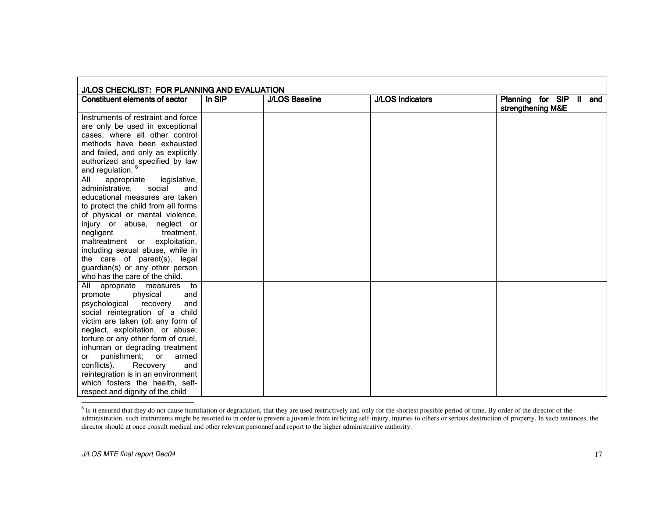| J/LOS CHECKLIST: FOR PLANNING AND EVALUATION                    |        |                       |                         |                                              |
|-----------------------------------------------------------------|--------|-----------------------|-------------------------|----------------------------------------------|
| Constituent elements of sector                                  | In SIP | <b>J/LOS Baseline</b> | <b>J/LOS Indicators</b> | Planning for SIP II and<br>strengthening M&E |
| Instruments of restraint and force                              |        |                       |                         |                                              |
| are only be used in exceptional                                 |        |                       |                         |                                              |
| cases, where all other control                                  |        |                       |                         |                                              |
| methods have been exhausted                                     |        |                       |                         |                                              |
| and failed, and only as explicitly                              |        |                       |                         |                                              |
|                                                                 |        |                       |                         |                                              |
| authorized and specified by law<br>and regulation. <sup>6</sup> |        |                       |                         |                                              |
| All<br>legislative,<br>appropriate                              |        |                       |                         |                                              |
| administrative,<br>social<br>and                                |        |                       |                         |                                              |
| educational measures are taken                                  |        |                       |                         |                                              |
| to protect the child from all forms                             |        |                       |                         |                                              |
| of physical or mental violence,                                 |        |                       |                         |                                              |
| injury or abuse, neglect or                                     |        |                       |                         |                                              |
| negligent<br>treatment.                                         |        |                       |                         |                                              |
| maltreatment or exploitation,                                   |        |                       |                         |                                              |
| including sexual abuse, while in                                |        |                       |                         |                                              |
| the care of parent(s), legal                                    |        |                       |                         |                                              |
| guardian(s) or any other person                                 |        |                       |                         |                                              |
| who has the care of the child.                                  |        |                       |                         |                                              |
| All apropriate measures<br>to                                   |        |                       |                         |                                              |
| promote<br>physical<br>and                                      |        |                       |                         |                                              |
| psychological recovery<br>and                                   |        |                       |                         |                                              |
| social reintegration of a child                                 |        |                       |                         |                                              |
| victim are taken (of: any form of                               |        |                       |                         |                                              |
| neglect, exploitation, or abuse;                                |        |                       |                         |                                              |
| torture or any other form of cruel,                             |        |                       |                         |                                              |
| inhuman or degrading treatment                                  |        |                       |                         |                                              |
| punishment; or<br>armed<br>or                                   |        |                       |                         |                                              |
| conflicts).<br>Recovery<br>and                                  |        |                       |                         |                                              |
| reintegration is in an environment                              |        |                       |                         |                                              |
| which fosters the health, self-                                 |        |                       |                         |                                              |
| respect and dignity of the child                                |        |                       |                         |                                              |

 $<sup>6</sup>$  Is it ensured that they do not cause humiliation or degradation, that they are used restrictively and only for the shortest possible period of time. By order of the director of the</sup> administration, such instruments might be resorted to in order to preven<sup>t</sup> <sup>a</sup> juvenile from inflicting self-injury, injuries to others or serious destruction of property. In such instances, the director should at once consult medical and other relevant personnel and repor<sup>t</sup> to the higher administrative authority.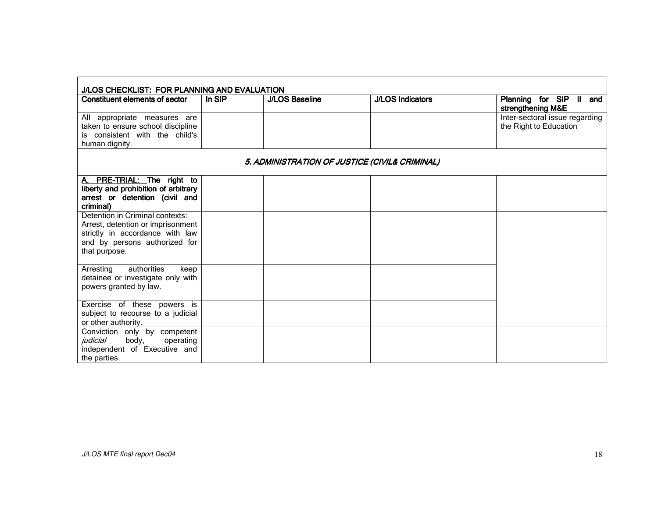| J/LOS CHECKLIST: FOR PLANNING AND EVALUATION |                       |                         |                                                          |  |
|----------------------------------------------|-----------------------|-------------------------|----------------------------------------------------------|--|
| In SIP                                       | <b>J/LOS Baseline</b> | <b>J/LOS Indicators</b> | Planning for SIP II and<br>strengthening M&E             |  |
|                                              |                       |                         | Inter-sectoral issue regarding<br>the Right to Education |  |
|                                              |                       |                         |                                                          |  |
|                                              |                       |                         |                                                          |  |
|                                              |                       |                         |                                                          |  |
|                                              |                       |                         | 5. ADMINISTRATION OF JUSTICE (CIVIL& CRIMINAL)           |  |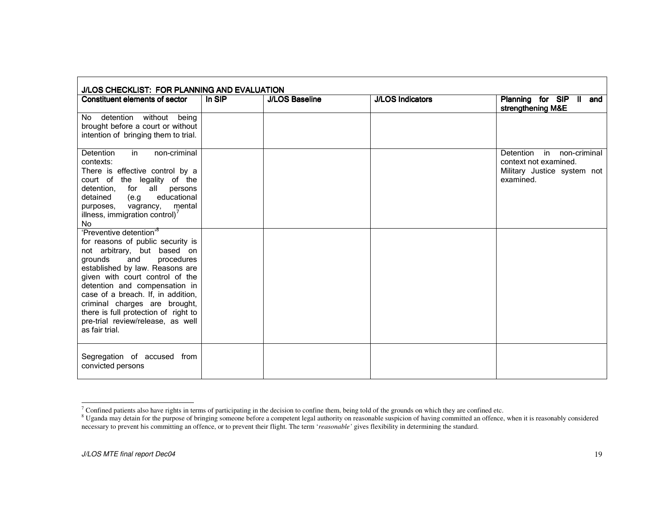| J/LOS CHECKLIST: FOR PLANNING AND EVALUATION                                                                                                                                                                                                                                                                                                                                                                         |        |                       |                         |                                                                                                |
|----------------------------------------------------------------------------------------------------------------------------------------------------------------------------------------------------------------------------------------------------------------------------------------------------------------------------------------------------------------------------------------------------------------------|--------|-----------------------|-------------------------|------------------------------------------------------------------------------------------------|
| Constituent elements of sector                                                                                                                                                                                                                                                                                                                                                                                       | In SIP | <b>J/LOS Baseline</b> | <b>J/LOS Indicators</b> | Planning for SIP II and<br>strengthening M&E                                                   |
| No detention without being<br>brought before a court or without<br>intention of bringing them to trial.                                                                                                                                                                                                                                                                                                              |        |                       |                         |                                                                                                |
| non-criminal<br>Detention<br>in<br>contexts:<br>There is effective control by a<br>court of the legality of the<br>detention, for all<br>persons<br>educational<br>detained<br>(e.g.<br>purposes,<br>mental<br>vagrancy,<br>illness, immigration control) $7$<br>No                                                                                                                                                  |        |                       |                         | Detention in non-criminal<br>context not examined.<br>Military Justice system not<br>examined. |
| 'Preventive detention' <sup>8</sup><br>for reasons of public security is<br>not arbitrary, but based on<br>and<br>procedures<br>grounds<br>established by law. Reasons are<br>given with court control of the<br>detention and compensation in<br>case of a breach. If, in addition,<br>criminal charges are brought,<br>there is full protection of right to<br>pre-trial review/release, as well<br>as fair trial. |        |                       |                         |                                                                                                |
| Segregation of accused from<br>convicted persons                                                                                                                                                                                                                                                                                                                                                                     |        |                       |                         |                                                                                                |

 $\frac{7}{8}$  Confined patients also have rights in terms of participating in the decision to confine them, being told of the grounds on which they are confined etc.<br><sup>8</sup> Uganda may detain for the purpose of bringing someone b necessary to prevent his committing an offence, or to prevent their flight. The term 'reasonable' gives flexibility in determining the standard.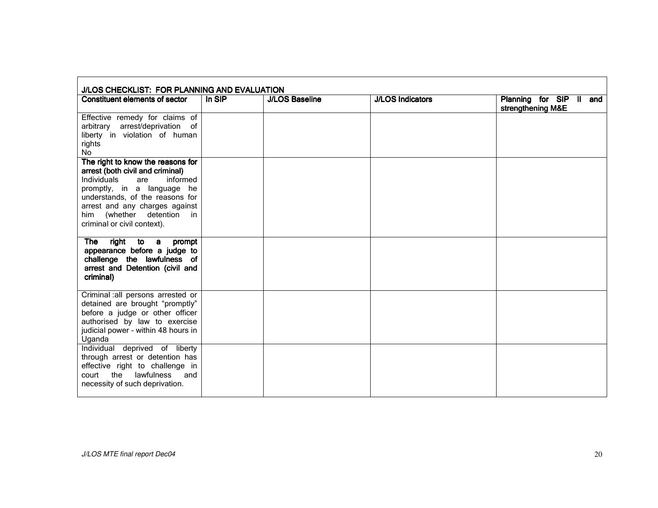| J/LOS CHECKLIST: FOR PLANNING AND EVALUATION                                                                                                                                                                                                                              |        |                       |                         |                                              |
|---------------------------------------------------------------------------------------------------------------------------------------------------------------------------------------------------------------------------------------------------------------------------|--------|-----------------------|-------------------------|----------------------------------------------|
| Constituent elements of sector                                                                                                                                                                                                                                            | In SIP | <b>J/LOS Baseline</b> | <b>J/LOS Indicators</b> | Planning for SIP II and<br>strengthening M&E |
| Effective remedy for claims of<br>arbitrary arrest/deprivation of<br>liberty in violation of human<br>rights<br>No                                                                                                                                                        |        |                       |                         |                                              |
| The right to know the reasons for<br>arrest (both civil and criminal)<br>Individuals<br>informed<br>are<br>promptly, in a language he<br>understands, of the reasons for<br>arrest and any charges against<br>him (whether detention<br>in<br>criminal or civil context). |        |                       |                         |                                              |
| <b>The</b><br>right to a<br>prompt<br>appearance before a judge to<br>challenge the lawfulness of<br>arrest and Detention (civil and<br>criminal)                                                                                                                         |        |                       |                         |                                              |
| Criminal : all persons arrested or<br>detained are brought "promptly"<br>before a judge or other officer<br>authorised by law to exercise<br>judicial power - within 48 hours in<br>Uganda                                                                                |        |                       |                         |                                              |
| Individual deprived of liberty<br>through arrest or detention has<br>effective right to challenge in<br>court the lawfulness<br>and<br>necessity of such deprivation.                                                                                                     |        |                       |                         |                                              |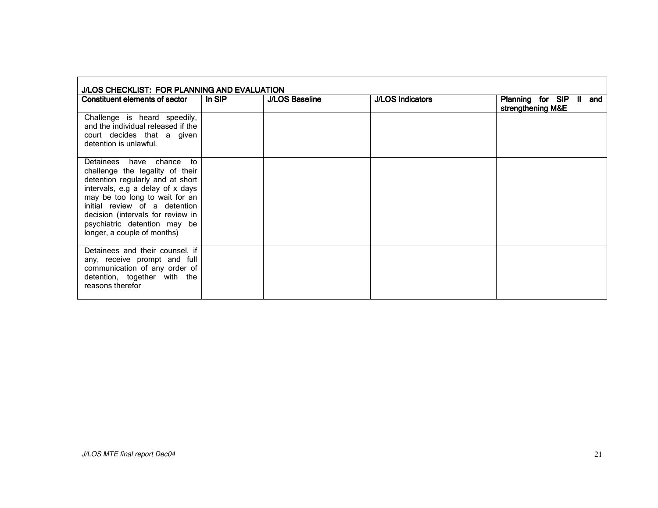| J/LOS CHECKLIST: FOR PLANNING AND EVALUATION                                                                                                                                                                                                                                                               |        |                       |                         |                                                 |
|------------------------------------------------------------------------------------------------------------------------------------------------------------------------------------------------------------------------------------------------------------------------------------------------------------|--------|-----------------------|-------------------------|-------------------------------------------------|
| Constituent elements of sector                                                                                                                                                                                                                                                                             | In SIP | <b>J/LOS Baseline</b> | <b>J/LOS Indicators</b> | Planning for SIP II<br>and<br>strengthening M&E |
| Challenge is heard speedily,<br>and the individual released if the<br>court decides that a given<br>detention is unlawful.                                                                                                                                                                                 |        |                       |                         |                                                 |
| Detainees have chance to<br>challenge the legality of their<br>detention regularly and at short<br>intervals, e.g a delay of x days<br>may be too long to wait for an<br>initial review of a detention<br>decision (intervals for review in<br>psychiatric detention may be<br>longer, a couple of months) |        |                       |                         |                                                 |
| Detainees and their counsel, if<br>any, receive prompt and full<br>communication of any order of<br>detention, together with the<br>reasons therefor                                                                                                                                                       |        |                       |                         |                                                 |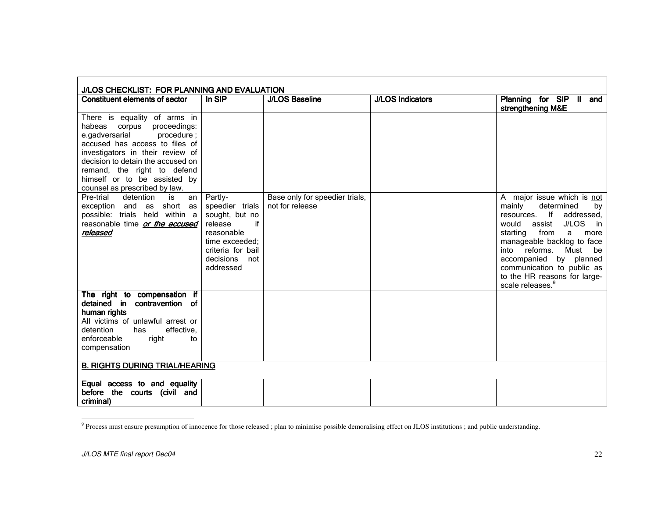| J/LOS CHECKLIST: FOR PLANNING AND EVALUATION                                                                                                                                                                                                                                                                |                                                                                                                                                     |                                                   |                         |                                                                                                                                                                                                                                                                                                                                                                  |
|-------------------------------------------------------------------------------------------------------------------------------------------------------------------------------------------------------------------------------------------------------------------------------------------------------------|-----------------------------------------------------------------------------------------------------------------------------------------------------|---------------------------------------------------|-------------------------|------------------------------------------------------------------------------------------------------------------------------------------------------------------------------------------------------------------------------------------------------------------------------------------------------------------------------------------------------------------|
| <b>Constituent elements of sector</b>                                                                                                                                                                                                                                                                       | In SIP                                                                                                                                              | <b>J/LOS Baseline</b>                             | <b>J/LOS Indicators</b> | Planning for SIP II<br>and<br>strengthening M&E                                                                                                                                                                                                                                                                                                                  |
| There is equality of arms in<br>habeas<br>corpus<br>proceedings:<br>e.gadversarial<br>procedure;<br>accused has access to files of<br>investigators in their review of<br>decision to detain the accused on<br>remand, the right to defend<br>himself or to be assisted by<br>counsel as prescribed by law. |                                                                                                                                                     |                                                   |                         |                                                                                                                                                                                                                                                                                                                                                                  |
| Pre-trial<br>detention<br>is<br>an<br>short<br>exception and<br>as<br>as<br>possible: trials held within a<br>reasonable time or the accused<br>released                                                                                                                                                    | Partly-<br>speedier trials<br>sought, but no<br>if<br>release<br>reasonable<br>time exceeded;<br>criteria for bail<br>decisions<br>not<br>addressed | Base only for speedier trials,<br>not for release |                         | A major issue which is not<br>mainly<br>determined<br>by<br>-lf<br>addressed,<br>resources.<br><b>J/LOS</b><br>would<br>assist<br>in<br>from<br>starting<br>a<br>more<br>manageable backlog to face<br>reforms.<br>Must<br>into<br>be<br>by planned<br>accompanied<br>communication to public as<br>to the HR reasons for large-<br>scale releases. <sup>9</sup> |
| The right to compensation if<br>detained in contravention of<br>human rights<br>All victims of unlawful arrest or<br>detention<br>effective,<br>has<br>enforceable<br>right<br>to<br>compensation                                                                                                           |                                                                                                                                                     |                                                   |                         |                                                                                                                                                                                                                                                                                                                                                                  |
| <b>B. RIGHTS DURING TRIAL/HEARING</b>                                                                                                                                                                                                                                                                       |                                                                                                                                                     |                                                   |                         |                                                                                                                                                                                                                                                                                                                                                                  |
| Equal access to and equality<br>before the courts (civil and<br>criminal)                                                                                                                                                                                                                                   |                                                                                                                                                     |                                                   |                         |                                                                                                                                                                                                                                                                                                                                                                  |

<sup>&</sup>lt;sup>9</sup> Process must ensure presumption of innocence for those released; plan to minimise possible demoralising effect on JLOS institutions; and public understanding.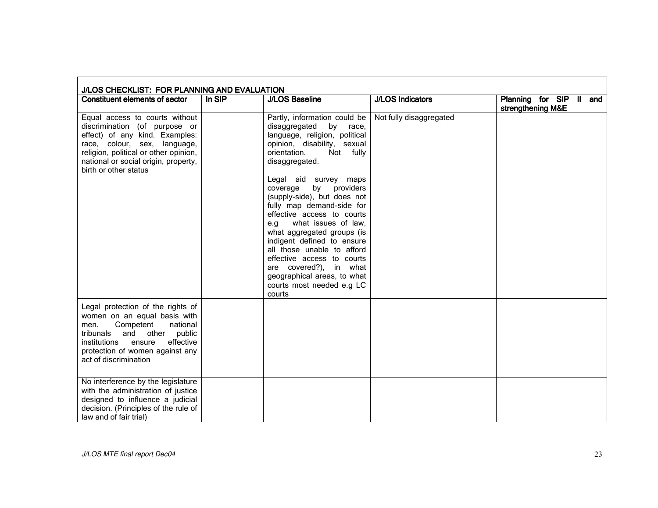| J/LOS CHECKLIST: FOR PLANNING AND EVALUATION                                                                                                                                                                                                |          |                                                                                                                                                                                                                                                                                                                                                                                                                                                                                                                                                                            |                         |                                              |
|---------------------------------------------------------------------------------------------------------------------------------------------------------------------------------------------------------------------------------------------|----------|----------------------------------------------------------------------------------------------------------------------------------------------------------------------------------------------------------------------------------------------------------------------------------------------------------------------------------------------------------------------------------------------------------------------------------------------------------------------------------------------------------------------------------------------------------------------------|-------------------------|----------------------------------------------|
| <b>Constituent elements of sector</b>                                                                                                                                                                                                       | $In$ SIP | <b>J/LOS Baseline</b>                                                                                                                                                                                                                                                                                                                                                                                                                                                                                                                                                      | <b>J/LOS Indicators</b> | Planning for SIP II and<br>strengthening M&E |
| Equal access to courts without<br>discrimination (of purpose or<br>effect) of any kind. Examples:<br>race, colour, sex, language,<br>religion, political or other opinion,<br>national or social origin, property,<br>birth or other status |          | Partly, information could be<br>disaggregated by race,<br>language, religion, political<br>opinion, disability, sexual<br>orientation.<br>Not fully<br>disaggregated.<br>Legal aid survey maps<br>providers<br>coverage<br>by<br>(supply-side), but does not<br>fully map demand-side for<br>effective access to courts<br>e.g what issues of law,<br>what aggregated groups (is<br>indigent defined to ensure<br>all those unable to afford<br>effective access to courts<br>are covered?), in what<br>geographical areas, to what<br>courts most needed e.g LC<br>courts | Not fully disaggregated |                                              |
| Legal protection of the rights of<br>women on an equal basis with<br>Competent<br>national<br>men.<br>and other public<br>tribunals<br>effective<br>institutions<br>ensure<br>protection of women against any<br>act of discrimination      |          |                                                                                                                                                                                                                                                                                                                                                                                                                                                                                                                                                                            |                         |                                              |
| No interference by the legislature<br>with the administration of justice<br>designed to influence a judicial<br>decision. (Principles of the rule of<br>law and of fair trial)                                                              |          |                                                                                                                                                                                                                                                                                                                                                                                                                                                                                                                                                                            |                         |                                              |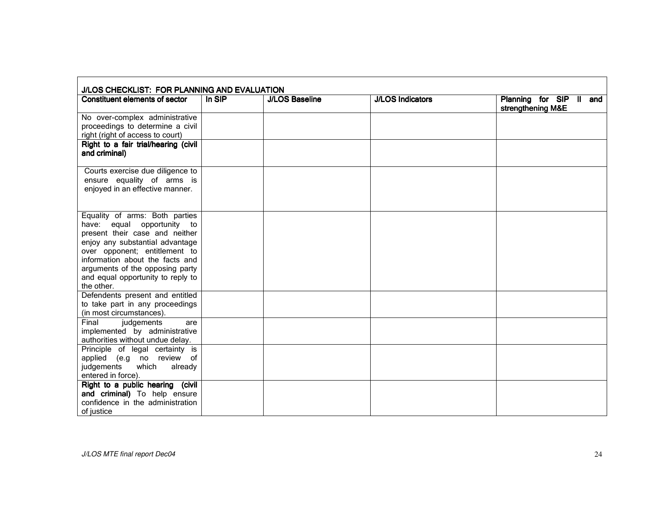| J/LOS CHECKLIST: FOR PLANNING AND EVALUATION                                                                                                                                                                                                                                                   |        |                       |                         |                                                 |
|------------------------------------------------------------------------------------------------------------------------------------------------------------------------------------------------------------------------------------------------------------------------------------------------|--------|-----------------------|-------------------------|-------------------------------------------------|
| Constituent elements of sector                                                                                                                                                                                                                                                                 | In SIP | <b>J/LOS Baseline</b> | <b>J/LOS Indicators</b> | Planning for SIP II<br>and<br>strengthening M&E |
| No over-complex administrative<br>proceedings to determine a civil<br>right (right of access to court)                                                                                                                                                                                         |        |                       |                         |                                                 |
| Right to a fair trial/hearing (civil<br>and criminal)                                                                                                                                                                                                                                          |        |                       |                         |                                                 |
| Courts exercise due diligence to<br>ensure equality of arms is<br>enjoyed in an effective manner.                                                                                                                                                                                              |        |                       |                         |                                                 |
| Equality of arms: Both parties<br>equal opportunity to<br>have:<br>present their case and neither<br>enjoy any substantial advantage<br>over opponent; entitlement to<br>information about the facts and<br>arguments of the opposing party<br>and equal opportunity to reply to<br>the other. |        |                       |                         |                                                 |
| Defendents present and entitled<br>to take part in any proceedings<br>(in most circumstances).                                                                                                                                                                                                 |        |                       |                         |                                                 |
| Final<br>judgements<br>are<br>implemented by administrative<br>authorities without undue delay.                                                                                                                                                                                                |        |                       |                         |                                                 |
| Principle of legal certainty is<br>applied (e.g no review of<br>judgements<br>which<br>already<br>entered in force).                                                                                                                                                                           |        |                       |                         |                                                 |
| Right to a public hearing (civil<br>and criminal) To help ensure<br>confidence in the administration<br>of justice                                                                                                                                                                             |        |                       |                         |                                                 |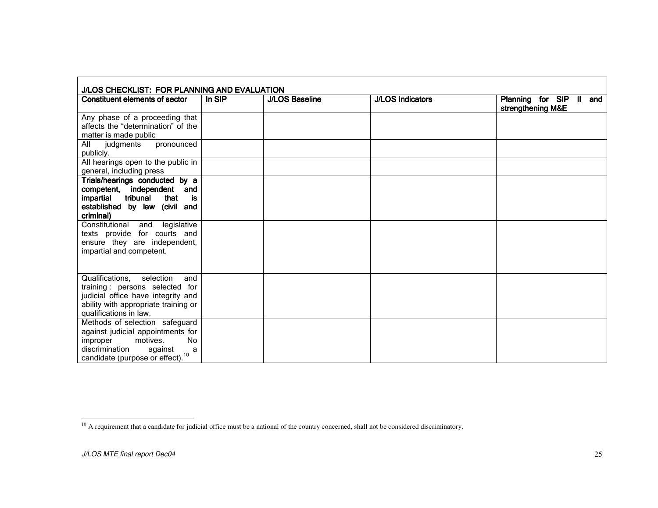| J/LOS CHECKLIST: FOR PLANNING AND EVALUATION                                                                                                                                               |        |                       |                         |                                                 |
|--------------------------------------------------------------------------------------------------------------------------------------------------------------------------------------------|--------|-----------------------|-------------------------|-------------------------------------------------|
| Constituent elements of sector                                                                                                                                                             | In SIP | <b>J/LOS Baseline</b> | <b>J/LOS Indicators</b> | Planning for SIP<br>II and<br>strengthening M&E |
| Any phase of a proceeding that<br>affects the "determination" of the<br>matter is made public                                                                                              |        |                       |                         |                                                 |
| judgments<br>All<br>pronounced<br>publicly.                                                                                                                                                |        |                       |                         |                                                 |
| All hearings open to the public in<br>general, including press                                                                                                                             |        |                       |                         |                                                 |
| Trials/hearings conducted by a<br>competent, independent<br>and<br>tribunal<br>that<br>is<br>impartial<br>established by law (civil and<br>criminal)                                       |        |                       |                         |                                                 |
| Constitutional<br>legislative<br>and<br>texts provide for courts and<br>ensure they are independent,<br>impartial and competent.                                                           |        |                       |                         |                                                 |
| Qualifications,<br>selection<br>and<br>training: persons selected for<br>judicial office have integrity and<br>ability with appropriate training or<br>qualifications in law.              |        |                       |                         |                                                 |
| Methods of selection safeguard<br>against judicial appointments for<br>motives.<br><b>No</b><br>improper<br>discrimination<br>against<br>a<br>candidate (purpose or effect). <sup>10</sup> |        |                       |                         |                                                 |

A requirement that a candidate for judicial office must be a national of the country concerned, shall not be considered discriminatory.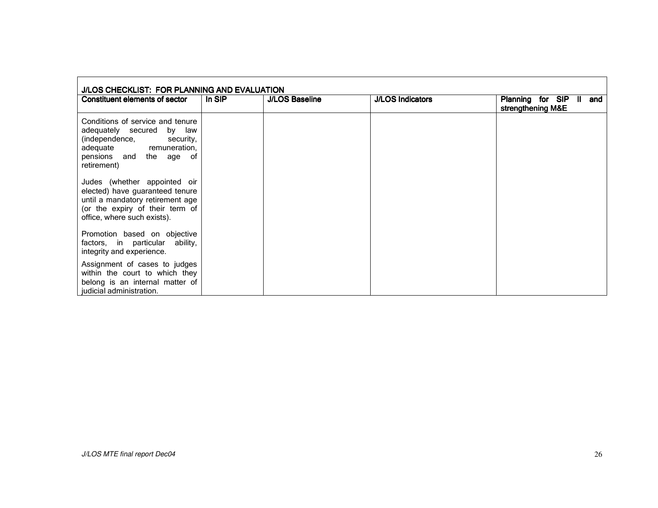| J/LOS CHECKLIST: FOR PLANNING AND EVALUATION                                                                                                                          |        |                       |                         |                                                              |
|-----------------------------------------------------------------------------------------------------------------------------------------------------------------------|--------|-----------------------|-------------------------|--------------------------------------------------------------|
| Constituent elements of sector                                                                                                                                        | In SIP | <b>J/LOS Baseline</b> | <b>J/LOS Indicators</b> | Planning for SIP<br>$\mathbf{I}$<br>and<br>strengthening M&E |
| Conditions of service and tenure<br>adequately secured by law<br>(independence,<br>security,<br>adequate remuneration,<br>pensions and the age of<br>retirement)      |        |                       |                         |                                                              |
| Judes (whether appointed oir<br>elected) have guaranteed tenure<br>until a mandatory retirement age<br>(or the expiry of their term of<br>office, where such exists). |        |                       |                         |                                                              |
| Promotion based on objective<br>factors, in particular<br>ability,<br>integrity and experience.                                                                       |        |                       |                         |                                                              |
| Assignment of cases to judges<br>within the court to which they<br>belong is an internal matter of<br>judicial administration.                                        |        |                       |                         |                                                              |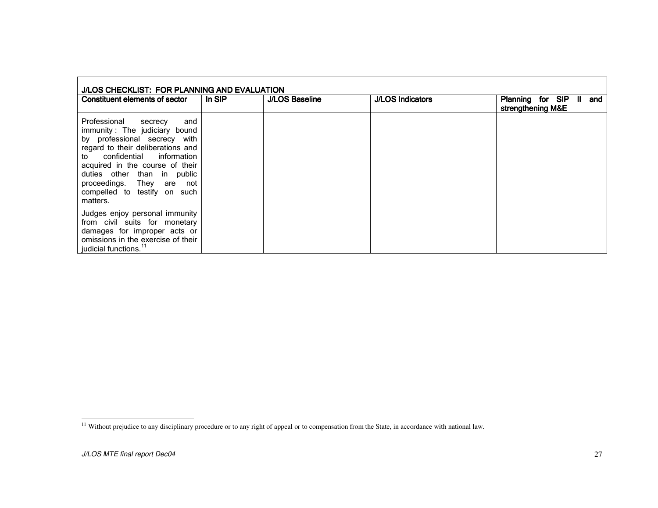| J/LOS CHECKLIST: FOR PLANNING AND EVALUATION                                                                                                                                                                                                                                                                         |        |                       |                         |                                                    |
|----------------------------------------------------------------------------------------------------------------------------------------------------------------------------------------------------------------------------------------------------------------------------------------------------------------------|--------|-----------------------|-------------------------|----------------------------------------------------|
| Constituent elements of sector                                                                                                                                                                                                                                                                                       | In SIP | <b>J/LOS Baseline</b> | <b>J/LOS Indicators</b> | Planning for SIP<br>and<br>Ш.<br>strengthening M&E |
| Professional<br>and<br>secrecy<br>immunity: The judiciary bound<br>by professional secrecy with<br>regard to their deliberations and<br>confidential information<br>to to<br>acquired in the course of their<br>duties other than in public<br>proceedings. They are not<br>compelled to testify on such<br>matters. |        |                       |                         |                                                    |
| Judges enjoy personal immunity<br>from civil suits for monetary<br>damages for improper acts or<br>omissions in the exercise of their<br>judicial functions. <sup>11</sup>                                                                                                                                           |        |                       |                         |                                                    |

<sup>&</sup>lt;sup>11</sup> Without prejudice to any disciplinary procedure or to any right of appeal or to compensation from the State, in accordance with national law.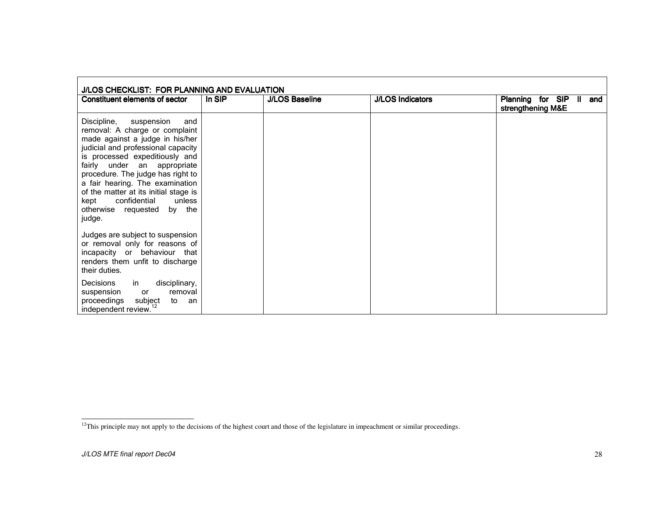| J/LOS CHECKLIST: FOR PLANNING AND EVALUATION                                                                                                                                                                                                                                                                                                                                                            |        |                       |                         |                                                              |  |
|---------------------------------------------------------------------------------------------------------------------------------------------------------------------------------------------------------------------------------------------------------------------------------------------------------------------------------------------------------------------------------------------------------|--------|-----------------------|-------------------------|--------------------------------------------------------------|--|
| Constituent elements of sector                                                                                                                                                                                                                                                                                                                                                                          | In SIP | <b>J/LOS Baseline</b> | <b>J/LOS Indicators</b> | Planning for SIP<br>$\mathbf{I}$<br>and<br>strengthening M&E |  |
| Discipline,<br>suspension<br>and<br>removal: A charge or complaint<br>made against a judge in his/her<br>judicial and professional capacity<br>is processed expeditiously and<br>fairly under an appropriate<br>procedure. The judge has right to<br>a fair hearing. The examination<br>of the matter at its initial stage is<br>confidential<br>unless<br>kept<br>otherwise requested by the<br>judge. |        |                       |                         |                                                              |  |
| Judges are subject to suspension<br>or removal only for reasons of<br>incapacity or behaviour that<br>renders them unfit to discharge<br>their duties.                                                                                                                                                                                                                                                  |        |                       |                         |                                                              |  |
| <b>Decisions</b><br>disciplinary,<br>in l<br>removal<br>suspension<br>or<br>proceedings<br>subject<br>to<br>an<br>independent review. <sup>12</sup>                                                                                                                                                                                                                                                     |        |                       |                         |                                                              |  |

<sup>&</sup>lt;sup>12</sup>This principle may not apply to the decisions of the highest court and those of the legislature in impeachment or similar proceedings.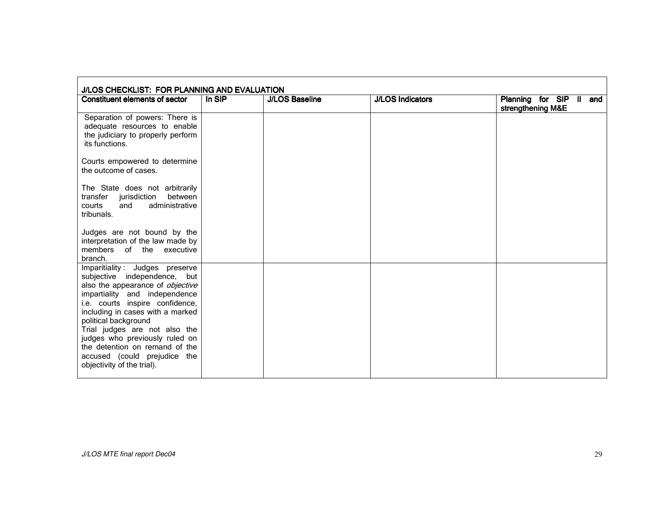| J/LOS CHECKLIST: FOR PLANNING AND EVALUATION                                                                                                                                                                                                                                                                                                                                                          |        |                       |                         |                                              |  |
|-------------------------------------------------------------------------------------------------------------------------------------------------------------------------------------------------------------------------------------------------------------------------------------------------------------------------------------------------------------------------------------------------------|--------|-----------------------|-------------------------|----------------------------------------------|--|
| <b>Constituent elements of sector</b>                                                                                                                                                                                                                                                                                                                                                                 | In SIP | <b>J/LOS Baseline</b> | <b>J/LOS Indicators</b> | Planning for SIP II and<br>strengthening M&E |  |
| Separation of powers: There is<br>adequate resources to enable<br>the judiciary to properly perform<br>its functions.                                                                                                                                                                                                                                                                                 |        |                       |                         |                                              |  |
| Courts empowered to determine<br>the outcome of cases.                                                                                                                                                                                                                                                                                                                                                |        |                       |                         |                                              |  |
| The State does not arbitrarily<br>between<br>transfer jurisdiction<br>administrative<br>courts<br>and<br>tribunals.                                                                                                                                                                                                                                                                                   |        |                       |                         |                                              |  |
| Judges are not bound by the<br>interpretation of the law made by<br>members of the executive<br>branch.                                                                                                                                                                                                                                                                                               |        |                       |                         |                                              |  |
| Imparitiality: Judges preserve<br>subjective independence, but<br>also the appearance of objective<br>impartiality and independence<br>i.e. courts inspire confidence,<br>including in cases with a marked<br>political background<br>Trial judges are not also the<br>judges who previously ruled on<br>the detention on remand of the<br>accused (could prejudice the<br>objectivity of the trial). |        |                       |                         |                                              |  |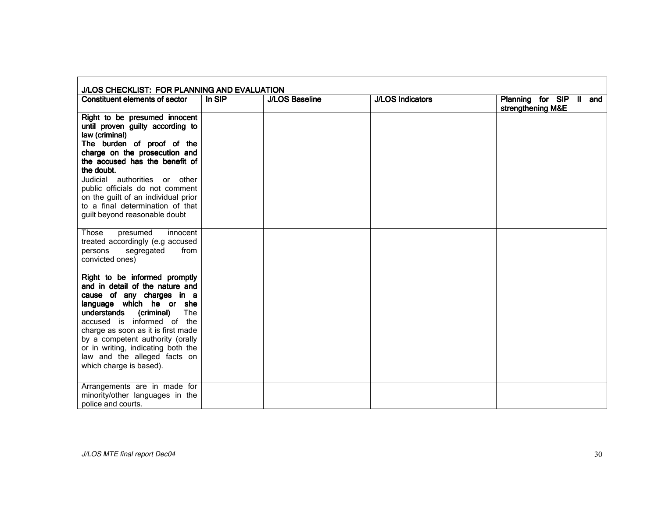| J/LOS CHECKLIST: FOR PLANNING AND EVALUATION                                                                                                                                                                                                                                                                                                                           |          |                       |                         |                                              |  |
|------------------------------------------------------------------------------------------------------------------------------------------------------------------------------------------------------------------------------------------------------------------------------------------------------------------------------------------------------------------------|----------|-----------------------|-------------------------|----------------------------------------------|--|
| <b>Constituent elements of sector</b>                                                                                                                                                                                                                                                                                                                                  | $In$ SIP | <b>J/LOS Baseline</b> | <b>J/LOS Indicators</b> | Planning for SIP II and<br>strengthening M&E |  |
| Right to be presumed innocent<br>until proven guilty according to<br>law (criminal)<br>The burden of proof of the<br>charge on the prosecution and<br>the accused has the benefit of<br>the doubt.                                                                                                                                                                     |          |                       |                         |                                              |  |
| Judicial authorities or other<br>public officials do not comment<br>on the guilt of an individual prior<br>to a final determination of that<br>guilt beyond reasonable doubt                                                                                                                                                                                           |          |                       |                         |                                              |  |
| Those<br>presumed<br>innocent<br>treated accordingly (e.g accused<br>segregated<br>from<br>persons<br>convicted ones)                                                                                                                                                                                                                                                  |          |                       |                         |                                              |  |
| Right to be informed promptly<br>and in detail of the nature and<br>cause of any charges in a<br>language which he or she<br>The<br>(criminal)<br>understands<br>accused is informed of the<br>charge as soon as it is first made<br>by a competent authority (orally<br>or in writing, indicating both the<br>law and the alleged facts on<br>which charge is based). |          |                       |                         |                                              |  |
| Arrangements are in made for<br>minority/other languages in the<br>police and courts.                                                                                                                                                                                                                                                                                  |          |                       |                         |                                              |  |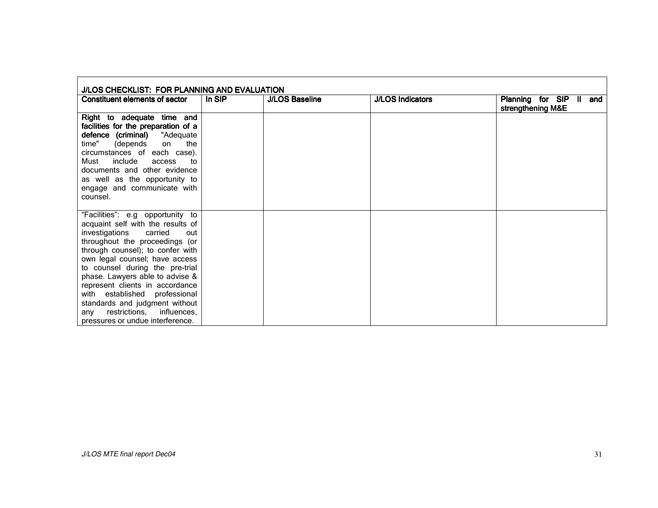| J/LOS CHECKLIST: FOR PLANNING AND EVALUATION                                                                                                                                                                                                                                                                                                                                                                                                                          |        |                       |                         |                                                 |  |  |
|-----------------------------------------------------------------------------------------------------------------------------------------------------------------------------------------------------------------------------------------------------------------------------------------------------------------------------------------------------------------------------------------------------------------------------------------------------------------------|--------|-----------------------|-------------------------|-------------------------------------------------|--|--|
| <b>Constituent elements of sector</b>                                                                                                                                                                                                                                                                                                                                                                                                                                 | In SIP | <b>J/LOS Baseline</b> | <b>J/LOS Indicators</b> | Planning for SIP<br>II and<br>strengthening M&E |  |  |
| Right to adequate time and<br>facilities for the preparation of a<br>defence (criminal)<br>"Adequate<br>time"<br>the<br>(depends<br>on<br>circumstances of each case).<br>include<br>Must<br>access<br>to<br>documents and other evidence<br>as well as the opportunity to<br>engage and communicate with<br>counsel.                                                                                                                                                 |        |                       |                         |                                                 |  |  |
| "Facilities": e.g opportunity to<br>acquaint self with the results of<br>investigations<br>carried<br>out<br>throughout the proceedings (or<br>through counsel); to confer with<br>own legal counsel; have access<br>to counsel during the pre-trial<br>phase. Lawyers able to advise &<br>represent clients in accordance<br>with established professional<br>standards and judgment without<br>restrictions, influences,<br>any<br>pressures or undue interference. |        |                       |                         |                                                 |  |  |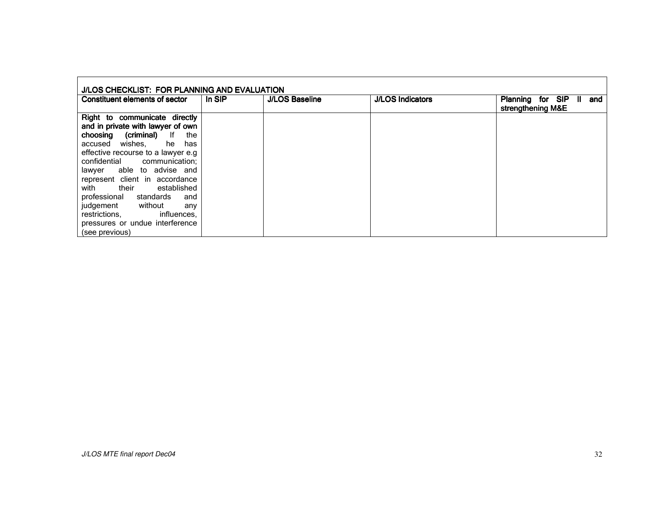| J/LOS CHECKLIST: FOR PLANNING AND EVALUATION                       |        |                       |                         |                                                    |
|--------------------------------------------------------------------|--------|-----------------------|-------------------------|----------------------------------------------------|
| Constituent elements of sector                                     | In SIP | <b>J/LOS Baseline</b> | <b>J/LOS Indicators</b> | Planning for SIP<br>and<br>Ш.<br>strengthening M&E |
| Right to communicate directly<br>and in private with lawyer of own |        |                       |                         |                                                    |
| (criminal) If<br>choosing<br>the<br>he has<br>accused wishes,      |        |                       |                         |                                                    |
| effective recourse to a lawyer e.g.                                |        |                       |                         |                                                    |
| confidential communication;<br>able to advise and<br>lawyer        |        |                       |                         |                                                    |
| represent client in accordance                                     |        |                       |                         |                                                    |
| established<br>their<br>with<br>professional standards<br>and      |        |                       |                         |                                                    |
| judgement without<br>any                                           |        |                       |                         |                                                    |
| restrictions.<br>influences,<br>pressures or undue interference    |        |                       |                         |                                                    |
| (see previous)                                                     |        |                       |                         |                                                    |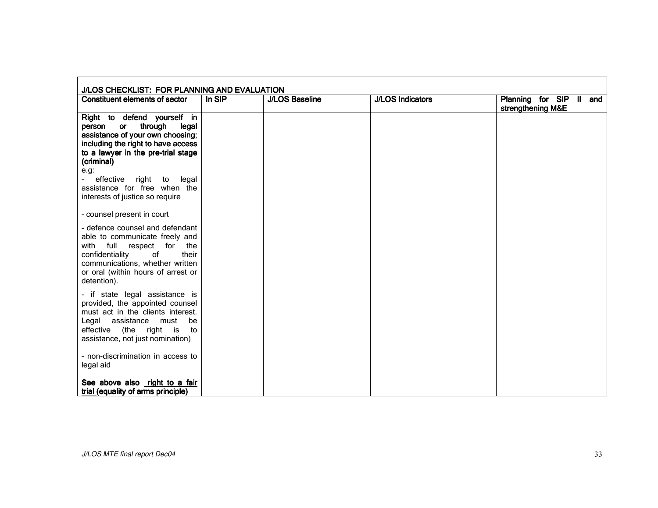| <b>Constituent elements of sector</b>                                                                                                                                                                                                                                                                      | In SIP | <b>J/LOS Baseline</b> | <b>J/LOS Indicators</b> | Planning for SIP II and<br>strengthening M&E |
|------------------------------------------------------------------------------------------------------------------------------------------------------------------------------------------------------------------------------------------------------------------------------------------------------------|--------|-----------------------|-------------------------|----------------------------------------------|
| Right to defend yourself in<br>through<br>person<br>or<br>legal<br>assistance of your own choosing;<br>including the right to have access<br>to a lawyer in the pre-trial stage<br>(criminal)<br>e.g.<br>effective right<br>to<br>legal<br>assistance for free when the<br>interests of justice so require |        |                       |                         |                                              |
| - counsel present in court                                                                                                                                                                                                                                                                                 |        |                       |                         |                                              |
| - defence counsel and defendant<br>able to communicate freely and<br>full respect for<br>with<br>the<br>confidentiality<br>of<br>their<br>communications, whether written<br>or oral (within hours of arrest or<br>detention).                                                                             |        |                       |                         |                                              |
| - if state legal assistance is<br>provided, the appointed counsel<br>must act in the clients interest.<br>Legal assistance<br>must<br>be<br>effective<br>(the right is<br>to<br>assistance, not just nomination)                                                                                           |        |                       |                         |                                              |
| - non-discrimination in access to<br>legal aid                                                                                                                                                                                                                                                             |        |                       |                         |                                              |
| See above also right to a fair<br>trial (equality of arms principle)                                                                                                                                                                                                                                       |        |                       |                         |                                              |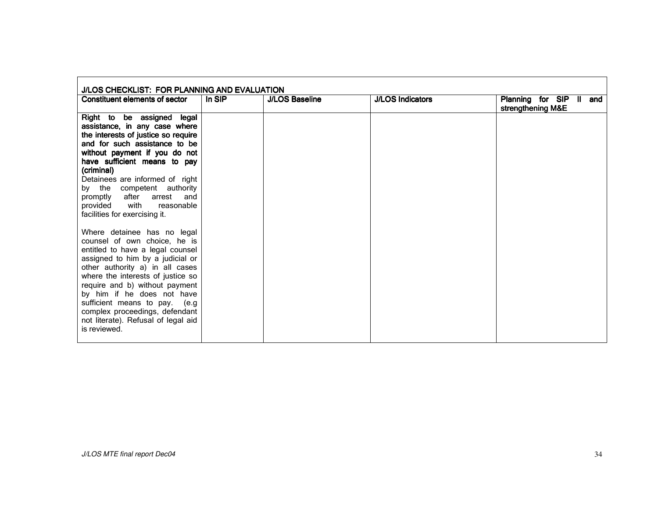| J/LOS CHECKLIST: FOR PLANNING AND EVALUATION                                                                                                                                                                                                                                                                                                                                                          |        |                       |                         |                                                 |
|-------------------------------------------------------------------------------------------------------------------------------------------------------------------------------------------------------------------------------------------------------------------------------------------------------------------------------------------------------------------------------------------------------|--------|-----------------------|-------------------------|-------------------------------------------------|
| Constituent elements of sector                                                                                                                                                                                                                                                                                                                                                                        | In SIP | <b>J/LOS Baseline</b> | <b>J/LOS Indicators</b> | Planning for SIP II<br>and<br>strengthening M&E |
| Right to be assigned legal<br>assistance, in any case where<br>the interests of justice so require<br>and for such assistance to be<br>without payment if you do not<br>have sufficient means to pay<br>(criminal)<br>Detainees are informed of right<br>by the competent authority<br>arrest and<br>after<br>promptly<br>provided<br>with<br>reasonable<br>facilities for exercising it.             |        |                       |                         |                                                 |
| Where detainee has no legal<br>counsel of own choice, he is<br>entitled to have a legal counsel<br>assigned to him by a judicial or<br>other authority a) in all cases<br>where the interests of justice so<br>require and b) without payment<br>by him if he does not have<br>sufficient means to pay. (e.g<br>complex proceedings, defendant<br>not literate). Refusal of legal aid<br>is reviewed. |        |                       |                         |                                                 |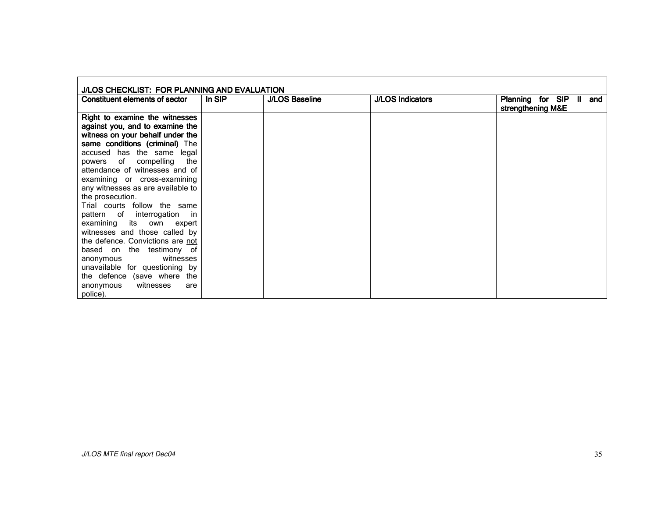| J/LOS CHECKLIST: FOR PLANNING AND EVALUATION                                                                                                                                                                                                                                                                                                                                                          |        |                       |                         |                                                    |
|-------------------------------------------------------------------------------------------------------------------------------------------------------------------------------------------------------------------------------------------------------------------------------------------------------------------------------------------------------------------------------------------------------|--------|-----------------------|-------------------------|----------------------------------------------------|
| Constituent elements of sector                                                                                                                                                                                                                                                                                                                                                                        | In SIP | <b>J/LOS Baseline</b> | <b>J/LOS Indicators</b> | Planning for SIP<br>Ш.<br>and<br>strengthening M&E |
| Right to examine the witnesses<br>against you, and to examine the<br>witness on your behalf under the<br>same conditions (criminal) The<br>accused has the same legal<br>of compelling<br>the<br>powers<br>attendance of witnesses and of<br>examining or cross-examining<br>any witnesses as are available to<br>the prosecution.<br>Trial courts follow the same<br>pattern of interrogation<br>-in |        |                       |                         |                                                    |
| examining its own expert<br>witnesses and those called by<br>the defence. Convictions are not<br>based on the testimony of<br>witnesses<br>anonymous<br>unavailable for questioning by<br>the defence (save where the<br>witnesses<br>anonymous<br>are<br>police).                                                                                                                                    |        |                       |                         |                                                    |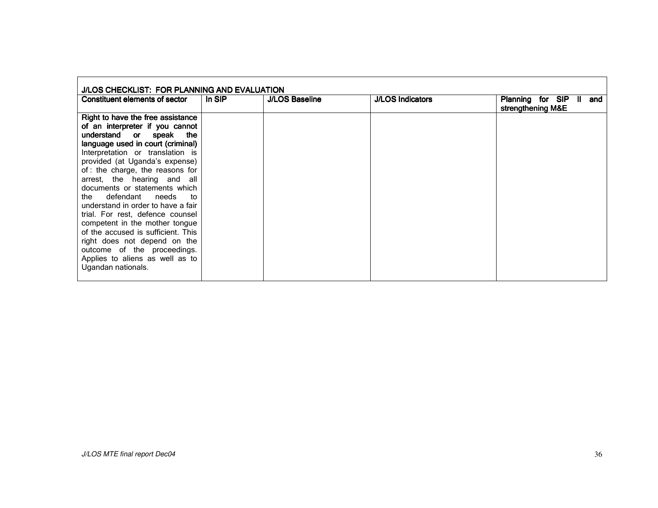| J/LOS CHECKLIST: FOR PLANNING AND EVALUATION                                                             |        |                       |                         |                                              |  |
|----------------------------------------------------------------------------------------------------------|--------|-----------------------|-------------------------|----------------------------------------------|--|
| Constituent elements of sector                                                                           | In SIP | <b>J/LOS Baseline</b> | <b>J/LOS Indicators</b> | Planning for SIP<br>and<br>strengthening M&E |  |
| Right to have the free assistance<br>of an interpreter if you cannot                                     |        |                       |                         |                                              |  |
| understand or speak the<br>language used in court (criminal)<br>Interpretation or translation is         |        |                       |                         |                                              |  |
| provided (at Uganda's expense)<br>of: the charge, the reasons for                                        |        |                       |                         |                                              |  |
| arrest, the hearing and all<br>documents or statements which                                             |        |                       |                         |                                              |  |
| the defendant needs<br>to<br>understand in order to have a fair                                          |        |                       |                         |                                              |  |
| trial. For rest, defence counsel<br>competent in the mother tongue<br>of the accused is sufficient. This |        |                       |                         |                                              |  |
| right does not depend on the<br>outcome of the proceedings.                                              |        |                       |                         |                                              |  |
| Applies to aliens as well as to<br>Ugandan nationals.                                                    |        |                       |                         |                                              |  |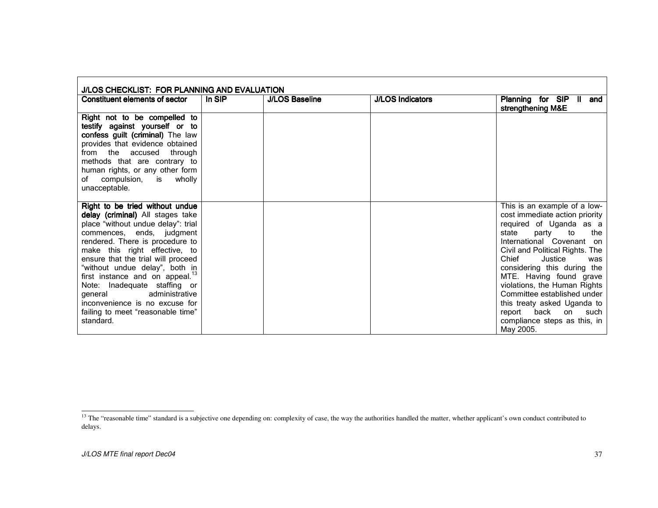| J/LOS CHECKLIST: FOR PLANNING AND EVALUATION                                                                                                                                                                                                                                                                                                                                                                                                                                       |        |                       |                         |                                                                                                                                                                                                                                                                                                                                                                                                                                                          |
|------------------------------------------------------------------------------------------------------------------------------------------------------------------------------------------------------------------------------------------------------------------------------------------------------------------------------------------------------------------------------------------------------------------------------------------------------------------------------------|--------|-----------------------|-------------------------|----------------------------------------------------------------------------------------------------------------------------------------------------------------------------------------------------------------------------------------------------------------------------------------------------------------------------------------------------------------------------------------------------------------------------------------------------------|
| Constituent elements of sector                                                                                                                                                                                                                                                                                                                                                                                                                                                     | In SIP | <b>J/LOS Baseline</b> | <b>J/LOS Indicators</b> | Planning for SIP II<br>and<br>strengthening M&E                                                                                                                                                                                                                                                                                                                                                                                                          |
| Right not to be compelled to<br>testify against yourself or to<br>confess guilt (criminal) The law<br>provides that evidence obtained<br>from the accused through<br>methods that are contrary to<br>human rights, or any other form<br>of compulsion, is wholly<br>unacceptable.                                                                                                                                                                                                  |        |                       |                         |                                                                                                                                                                                                                                                                                                                                                                                                                                                          |
| Right to be tried without undue<br>delay (criminal) All stages take<br>place "without undue delay": trial<br>commences, ends, judgment<br>rendered. There is procedure to<br>make this right effective, to<br>ensure that the trial will proceed<br>"without undue delay", both in<br>first instance and on appeal. <sup>13</sup><br>Note: Inadequate staffing or<br>administrative<br>qeneral<br>inconvenience is no excuse for<br>failing to meet "reasonable time"<br>standard. |        |                       |                         | This is an example of a low-<br>cost immediate action priority<br>required of Uganda as a<br>state<br>to<br>the<br>party<br>International Covenant on<br>Civil and Political Rights. The<br>Chief<br>Justice<br>was<br>considering this during the<br>MTE. Having found grave<br>violations, the Human Rights<br>Committee established under<br>this treaty asked Uganda to<br>back<br>on<br>report<br>such<br>compliance steps as this, in<br>May 2005. |

<sup>&</sup>lt;sup>13</sup> The "reasonable time" standard is a subjective one depending on: complexity of case, the way the authorities handled the matter, whether applicant's own conduct contributed to delays.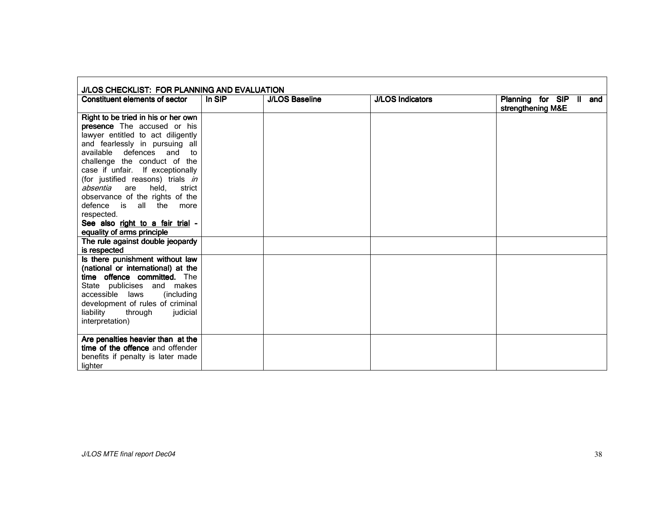| J/LOS CHECKLIST: FOR PLANNING AND EVALUATION |        |                       |                         |                                              |
|----------------------------------------------|--------|-----------------------|-------------------------|----------------------------------------------|
| Constituent elements of sector               | In SIP | <b>J/LOS Baseline</b> | <b>J/LOS Indicators</b> | Planning for SIP II and<br>strengthening M&E |
| Right to be tried in his or her own          |        |                       |                         |                                              |
| <b>presence</b> The accused or his           |        |                       |                         |                                              |
| lawyer entitled to act diligently            |        |                       |                         |                                              |
| and fearlessly in pursuing all               |        |                       |                         |                                              |
| available defences and<br>to                 |        |                       |                         |                                              |
| challenge the conduct of the                 |        |                       |                         |                                              |
| case if unfair. If exceptionally             |        |                       |                         |                                              |
| (for justified reasons) trials in            |        |                       |                         |                                              |
| absentia<br>held.<br>are<br>strict           |        |                       |                         |                                              |
| observance of the rights of the              |        |                       |                         |                                              |
| defence is all the<br>more                   |        |                       |                         |                                              |
| respected.                                   |        |                       |                         |                                              |
| See also right to a fair trial -             |        |                       |                         |                                              |
| equality of arms principle                   |        |                       |                         |                                              |
| The rule against double jeopardy             |        |                       |                         |                                              |
| is respected                                 |        |                       |                         |                                              |
| Is there punishment without law              |        |                       |                         |                                              |
| (national or international) at the           |        |                       |                         |                                              |
| time offence committed. The                  |        |                       |                         |                                              |
| State publicises and makes                   |        |                       |                         |                                              |
| accessible laws<br>(including                |        |                       |                         |                                              |
| development of rules of criminal             |        |                       |                         |                                              |
| liability<br>through<br>judicial             |        |                       |                         |                                              |
| interpretation)                              |        |                       |                         |                                              |
|                                              |        |                       |                         |                                              |
| Are penalties heavier than at the            |        |                       |                         |                                              |
| time of the offence and offender             |        |                       |                         |                                              |
| benefits if penalty is later made            |        |                       |                         |                                              |
| lighter                                      |        |                       |                         |                                              |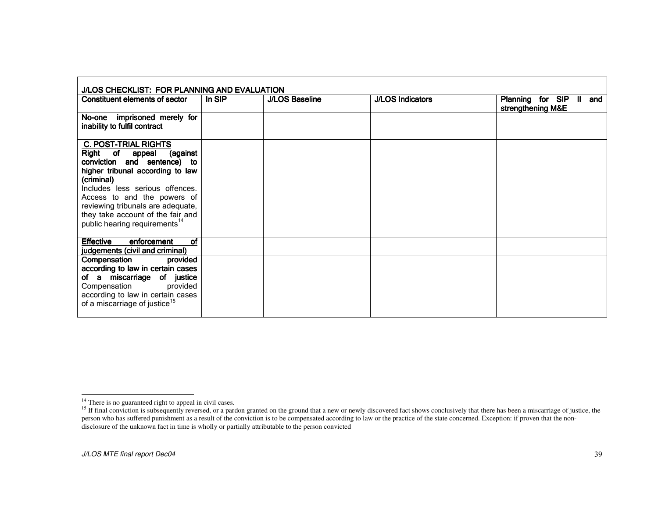| J/LOS CHECKLIST: FOR PLANNING AND EVALUATION                                                                                                                                                                                                                                                                                            |        |                       |                         |                                              |  |
|-----------------------------------------------------------------------------------------------------------------------------------------------------------------------------------------------------------------------------------------------------------------------------------------------------------------------------------------|--------|-----------------------|-------------------------|----------------------------------------------|--|
| Constituent elements of sector                                                                                                                                                                                                                                                                                                          | In SIP | <b>J/LOS Baseline</b> | <b>J/LOS Indicators</b> | Planning for SIP II and<br>strengthening M&E |  |
| No-one imprisoned merely for<br>inability to fulfil contract                                                                                                                                                                                                                                                                            |        |                       |                         |                                              |  |
| <b>C. POST-TRIAL RIGHTS</b><br>Right of<br>appeal<br>(against<br>conviction and sentence) to<br>higher tribunal according to law<br>(criminal)<br>Includes less serious offences.<br>Access to and the powers of<br>reviewing tribunals are adequate,<br>they take account of the fair and<br>public hearing requirements <sup>14</sup> |        |                       |                         |                                              |  |
| <b>of</b><br><b>Effective</b><br>enforcement<br>judgements (civil and criminal)                                                                                                                                                                                                                                                         |        |                       |                         |                                              |  |
| Compensation<br>provided<br>according to law in certain cases<br>of a miscarriage of justice<br>provided<br>Compensation<br>according to law in certain cases<br>of a miscarriage of justice <sup>15</sup>                                                                                                                              |        |                       |                         |                                              |  |

<sup>&</sup>lt;sup>14</sup> There is no guaranteed right to appeal in civil cases.<br><sup>15</sup> If final conviction is subsequently reversed, or a pardon granted on the ground that a new or newly discovered fact shows conclusively that there has been a disclosure of the unknown fact in time is wholly or partially attributable to the person convicted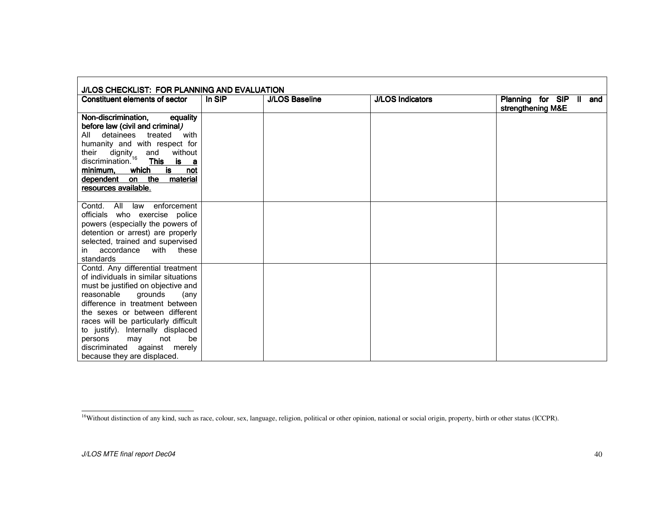| J/LOS CHECKLIST: FOR PLANNING AND EVALUATION                                                                                                                                                                                                                                                                                                                                                     |        |                       |                         |                                              |  |
|--------------------------------------------------------------------------------------------------------------------------------------------------------------------------------------------------------------------------------------------------------------------------------------------------------------------------------------------------------------------------------------------------|--------|-----------------------|-------------------------|----------------------------------------------|--|
| Constituent elements of sector                                                                                                                                                                                                                                                                                                                                                                   | In SIP | <b>J/LOS Baseline</b> | <b>J/LOS Indicators</b> | Planning for SIP II and<br>strengthening M&E |  |
| Non-discrimination.<br>equality<br>before law (civil and criminal)<br>detainees treated<br>All<br>with<br>humanity and with respect for<br>their dignity<br>discrimination. <sup>16</sup><br>without<br>their<br>and<br>This is a<br>which<br>is<br>minimum.<br>not<br>dependent on the material<br>resources available.                                                                         |        |                       |                         |                                              |  |
| enforcement<br>Contd. All law<br>officials who exercise police<br>powers (especially the powers of<br>detention or arrest) are properly<br>selected, trained and supervised<br>in accordance with these<br>standards                                                                                                                                                                             |        |                       |                         |                                              |  |
| Contd. Any differential treatment<br>of individuals in similar situations<br>must be justified on objective and<br>reasonable<br>grounds<br>(any<br>difference in treatment between<br>the sexes or between different<br>races will be particularly difficult<br>to justify). Internally displaced<br>not<br>be<br>persons<br>may<br>discriminated against merely<br>because they are displaced. |        |                       |                         |                                              |  |

<sup>&</sup>lt;sup>16</sup>Without distinction of any kind, such as race, colour, sex, language, religion, political or other opinion, national or social origin, property, birth or other status (ICCPR).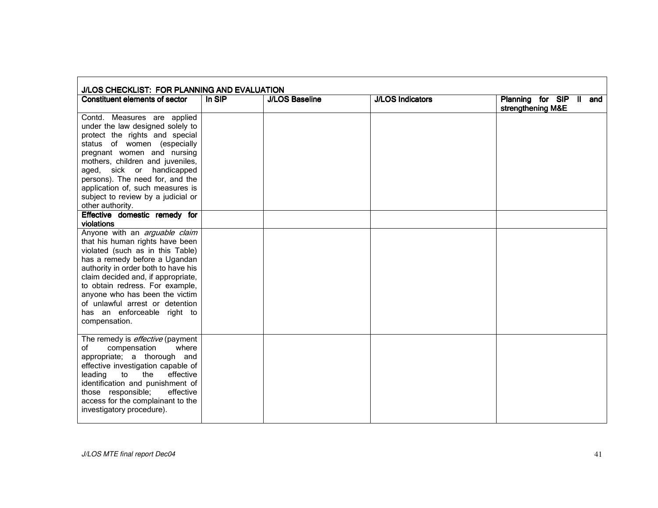| J/LOS CHECKLIST: FOR PLANNING AND EVALUATION                                                                                                                                                                                                                                                                                                                               |        |                       |                         |                                              |  |
|----------------------------------------------------------------------------------------------------------------------------------------------------------------------------------------------------------------------------------------------------------------------------------------------------------------------------------------------------------------------------|--------|-----------------------|-------------------------|----------------------------------------------|--|
| Constituent elements of sector                                                                                                                                                                                                                                                                                                                                             | In SIP | <b>J/LOS Baseline</b> | <b>J/LOS Indicators</b> | Planning for SIP II and<br>strengthening M&E |  |
| Contd. Measures are applied<br>under the law designed solely to<br>protect the rights and special<br>status of women (especially<br>pregnant women and nursing<br>mothers, children and juveniles,<br>aged, sick or handicapped<br>persons). The need for, and the<br>application of, such measures is<br>subject to review by a judicial or                               |        |                       |                         |                                              |  |
| other authority.                                                                                                                                                                                                                                                                                                                                                           |        |                       |                         |                                              |  |
| Effective domestic remedy for<br>violations                                                                                                                                                                                                                                                                                                                                |        |                       |                         |                                              |  |
| Anyone with an arguable claim<br>that his human rights have been<br>violated (such as in this Table)<br>has a remedy before a Ugandan<br>authority in order both to have his<br>claim decided and, if appropriate,<br>to obtain redress. For example,<br>anyone who has been the victim<br>of unlawful arrest or detention<br>has an enforceable right to<br>compensation. |        |                       |                         |                                              |  |
| The remedy is <i>effective</i> (payment<br>of<br>compensation<br>where<br>appropriate; a thorough and<br>effective investigation capable of<br>effective<br>leading<br>the<br>to<br>identification and punishment of<br>effective<br>those responsible;<br>access for the complainant to the<br>investigatory procedure).                                                  |        |                       |                         |                                              |  |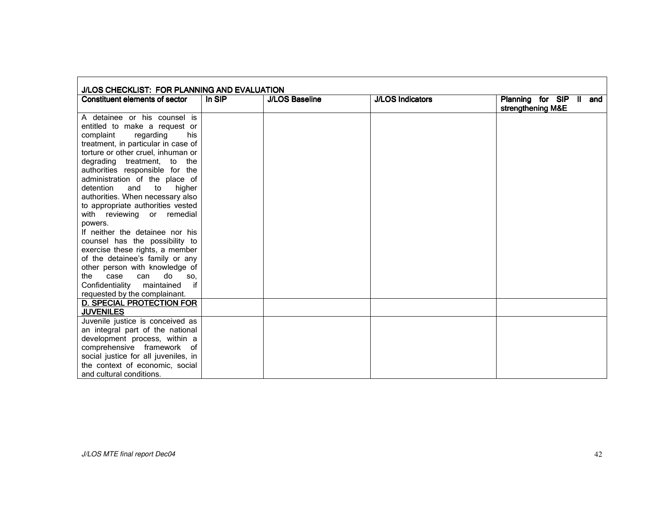| J/LOS CHECKLIST: FOR PLANNING AND EVALUATION |        |                       |                         |                                              |
|----------------------------------------------|--------|-----------------------|-------------------------|----------------------------------------------|
| Constituent elements of sector               | In SIP | <b>J/LOS Baseline</b> | <b>J/LOS Indicators</b> | Planning for SIP II and<br>strengthening M&E |
| A detainee or his counsel is                 |        |                       |                         |                                              |
| entitled to make a request or                |        |                       |                         |                                              |
| complaint<br>regarding<br>his                |        |                       |                         |                                              |
| treatment, in particular in case of          |        |                       |                         |                                              |
| torture or other cruel, inhuman or           |        |                       |                         |                                              |
| degrading treatment, to the                  |        |                       |                         |                                              |
| authorities responsible for the              |        |                       |                         |                                              |
| administration of the place of               |        |                       |                         |                                              |
| detention<br>and<br>higher<br>to             |        |                       |                         |                                              |
| authorities. When necessary also             |        |                       |                         |                                              |
| to appropriate authorities vested            |        |                       |                         |                                              |
| with reviewing or remedial                   |        |                       |                         |                                              |
| powers.                                      |        |                       |                         |                                              |
| If neither the detainee nor his              |        |                       |                         |                                              |
| counsel has the possibility to               |        |                       |                         |                                              |
| exercise these rights, a member              |        |                       |                         |                                              |
| of the detainee's family or any              |        |                       |                         |                                              |
| other person with knowledge of               |        |                       |                         |                                              |
| do<br>case<br>can<br>the<br>SO.              |        |                       |                         |                                              |
| if<br>Confidentiality maintained             |        |                       |                         |                                              |
| requested by the complainant.                |        |                       |                         |                                              |
| <b>D. SPECIAL PROTECTION FOR</b>             |        |                       |                         |                                              |
| <b>JUVENILES</b>                             |        |                       |                         |                                              |
| Juvenile justice is conceived as             |        |                       |                         |                                              |
| an integral part of the national             |        |                       |                         |                                              |
| development process, within a                |        |                       |                         |                                              |
| comprehensive framework of                   |        |                       |                         |                                              |
| social justice for all juveniles, in         |        |                       |                         |                                              |
| the context of economic, social              |        |                       |                         |                                              |
| and cultural conditions.                     |        |                       |                         |                                              |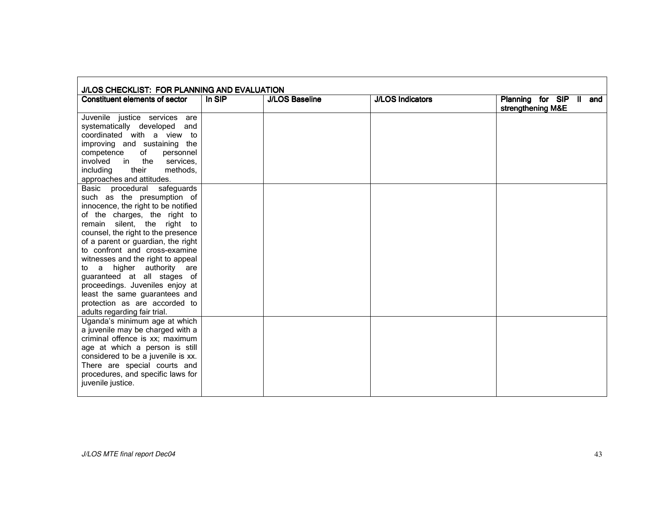| J/LOS CHECKLIST: FOR PLANNING AND EVALUATION |        |                       |                         |                                              |
|----------------------------------------------|--------|-----------------------|-------------------------|----------------------------------------------|
| <b>Constituent elements of sector</b>        | In SIP | <b>J/LOS Baseline</b> | <b>J/LOS Indicators</b> | Planning for SIP II and<br>strengthening M&E |
| Juvenile justice services are                |        |                       |                         |                                              |
| systematically developed<br>and              |        |                       |                         |                                              |
| coordinated with a view to                   |        |                       |                         |                                              |
| improving and sustaining the                 |        |                       |                         |                                              |
| of<br>competence<br>personnel                |        |                       |                         |                                              |
| in the<br>involved<br>services,              |        |                       |                         |                                              |
| their<br>methods.<br>including               |        |                       |                         |                                              |
| approaches and attitudes.                    |        |                       |                         |                                              |
| procedural safeguards<br>Basic               |        |                       |                         |                                              |
| such as the presumption of                   |        |                       |                         |                                              |
| innocence, the right to be notified          |        |                       |                         |                                              |
| of the charges, the right to                 |        |                       |                         |                                              |
| remain silent, the right to                  |        |                       |                         |                                              |
| counsel, the right to the presence           |        |                       |                         |                                              |
| of a parent or guardian, the right           |        |                       |                         |                                              |
| to confront and cross-examine                |        |                       |                         |                                              |
| witnesses and the right to appeal            |        |                       |                         |                                              |
| to a higher authority are                    |        |                       |                         |                                              |
| guaranteed at all stages of                  |        |                       |                         |                                              |
| proceedings. Juveniles enjoy at              |        |                       |                         |                                              |
| least the same guarantees and                |        |                       |                         |                                              |
| protection as are accorded to                |        |                       |                         |                                              |
| adults regarding fair trial.                 |        |                       |                         |                                              |
| Uganda's minimum age at which                |        |                       |                         |                                              |
| a juvenile may be charged with a             |        |                       |                         |                                              |
| criminal offence is xx; maximum              |        |                       |                         |                                              |
| age at which a person is still               |        |                       |                         |                                              |
| considered to be a juvenile is xx.           |        |                       |                         |                                              |
| There are special courts and                 |        |                       |                         |                                              |
| procedures, and specific laws for            |        |                       |                         |                                              |
| juvenile justice.                            |        |                       |                         |                                              |
|                                              |        |                       |                         |                                              |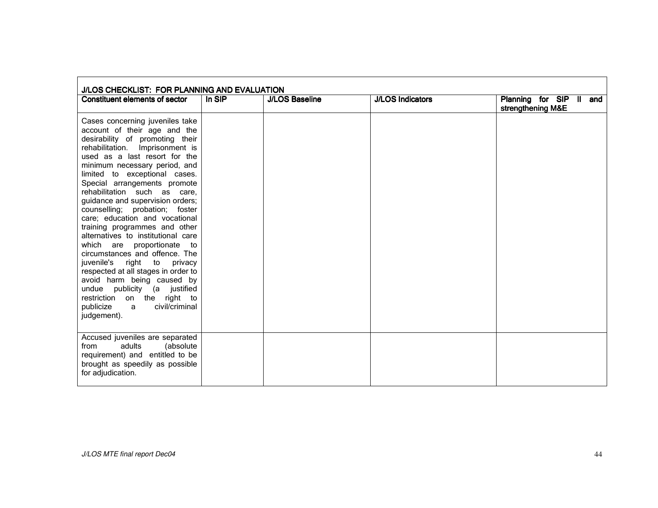| J/LOS CHECKLIST: FOR PLANNING AND EVALUATION                                                                                                                                                                                                                                                                                                                                                                                                                                                                                                                                                                                                                                                                                                                                        |        |                       |                         |                                              |  |  |
|-------------------------------------------------------------------------------------------------------------------------------------------------------------------------------------------------------------------------------------------------------------------------------------------------------------------------------------------------------------------------------------------------------------------------------------------------------------------------------------------------------------------------------------------------------------------------------------------------------------------------------------------------------------------------------------------------------------------------------------------------------------------------------------|--------|-----------------------|-------------------------|----------------------------------------------|--|--|
| <b>Constituent elements of sector</b>                                                                                                                                                                                                                                                                                                                                                                                                                                                                                                                                                                                                                                                                                                                                               | In SIP | <b>J/LOS Baseline</b> | <b>J/LOS Indicators</b> | Planning for SIP II and<br>strengthening M&E |  |  |
| Cases concerning juveniles take<br>account of their age and the<br>desirability of promoting their<br>rehabilitation.<br>Imprisonment is<br>used as a last resort for the<br>minimum necessary period, and<br>limited to exceptional cases.<br>Special arrangements promote<br>rehabilitation such as care,<br>guidance and supervision orders;<br>counselling; probation; foster<br>care; education and vocational<br>training programmes and other<br>alternatives to institutional care<br>which are proportionate to<br>circumstances and offence. The<br>juvenile's right to privacy<br>respected at all stages in order to<br>avoid harm being caused by<br>publicity (a justified<br>undue<br>restriction on the right to<br>civil/criminal<br>publicize<br>a<br>judgement). |        |                       |                         |                                              |  |  |
| Accused juveniles are separated<br>adults<br>(absolute<br>from<br>requirement) and entitled to be<br>brought as speedily as possible<br>for adjudication.                                                                                                                                                                                                                                                                                                                                                                                                                                                                                                                                                                                                                           |        |                       |                         |                                              |  |  |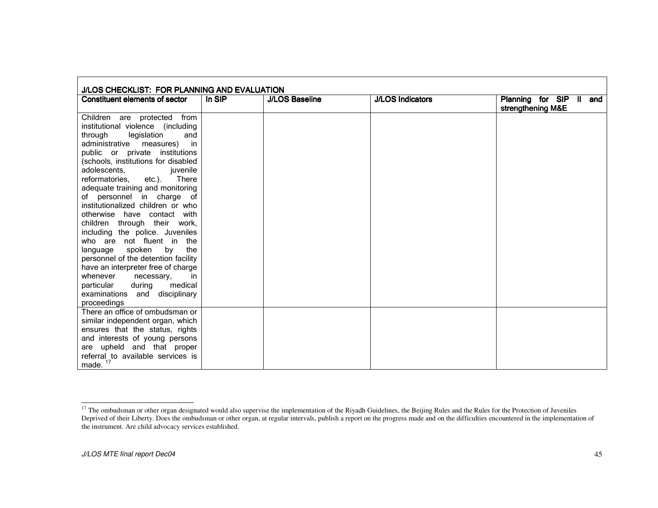| J/LOS CHECKLIST: FOR PLANNING AND EVALUATION<br><b>Constituent elements of sector</b> | In SIP | <b>J/LOS Baseline</b> | <b>J/LOS Indicators</b> | Planning for SIP II and<br>strengthening M&E |
|---------------------------------------------------------------------------------------|--------|-----------------------|-------------------------|----------------------------------------------|
| Children are protected<br>from                                                        |        |                       |                         |                                              |
| institutional violence (including                                                     |        |                       |                         |                                              |
| legislation<br>through<br>and                                                         |        |                       |                         |                                              |
| administrative<br>measures)<br>in                                                     |        |                       |                         |                                              |
| public or private<br>institutions                                                     |        |                       |                         |                                              |
| (schools, institutions for disabled                                                   |        |                       |                         |                                              |
| adolescents,<br>juvenile                                                              |        |                       |                         |                                              |
| There<br>reformatories.<br>$etc.$ ).                                                  |        |                       |                         |                                              |
| adequate training and monitoring                                                      |        |                       |                         |                                              |
| of personnel in charge of                                                             |        |                       |                         |                                              |
| institutionalized children or who                                                     |        |                       |                         |                                              |
| otherwise have contact with                                                           |        |                       |                         |                                              |
| children through their work,                                                          |        |                       |                         |                                              |
| including the police. Juveniles                                                       |        |                       |                         |                                              |
| who are not fluent in<br>the                                                          |        |                       |                         |                                              |
| the<br>language<br>spoken<br>by                                                       |        |                       |                         |                                              |
| personnel of the detention facility                                                   |        |                       |                         |                                              |
| have an interpreter free of charge                                                    |        |                       |                         |                                              |
| whenever<br>necessary,<br>in                                                          |        |                       |                         |                                              |
| during<br>medical<br>particular                                                       |        |                       |                         |                                              |
| disciplinary<br>examinations<br>and                                                   |        |                       |                         |                                              |
| proceedings                                                                           |        |                       |                         |                                              |
| There an office of ombudsman or                                                       |        |                       |                         |                                              |
| similar independent organ, which                                                      |        |                       |                         |                                              |
| ensures that the status, rights                                                       |        |                       |                         |                                              |
| and interests of young persons                                                        |        |                       |                         |                                              |
| are upheld and that proper                                                            |        |                       |                         |                                              |
| referral to available services is                                                     |        |                       |                         |                                              |
| made. $17$                                                                            |        |                       |                         |                                              |

<sup>&</sup>lt;sup>17</sup> The ombudsman or other organ designated would also supervise the implementation of the Riyadh Guidelines, the Beijing Rules and the Rules for the Protection of Juveniles<br>Deprived of their Liberty. Does the ombudsman o the instrument. Are child advocacy services established.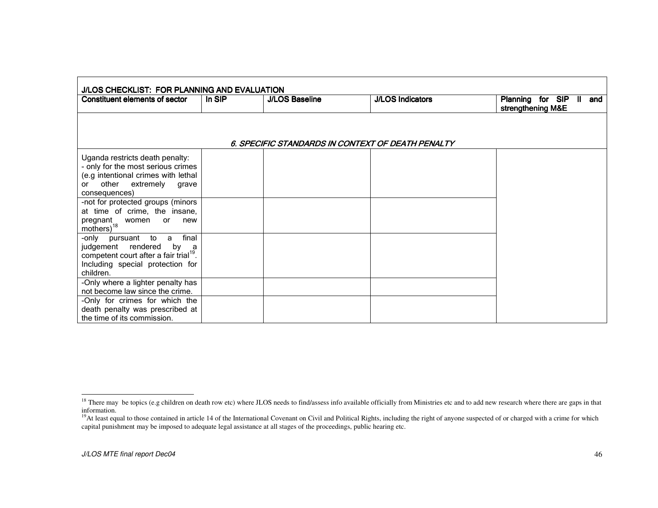| <b>Constituent elements of sector</b>                                                                                                                                  | In SIP | <b>J/LOS Baseline</b> | <b>J/LOS Indicators</b>                           | Planning for SIP II and<br>strengthening M&E |
|------------------------------------------------------------------------------------------------------------------------------------------------------------------------|--------|-----------------------|---------------------------------------------------|----------------------------------------------|
|                                                                                                                                                                        |        |                       |                                                   |                                              |
|                                                                                                                                                                        |        |                       | 6. SPECIFIC STANDARDS IN CONTEXT OF DEATH PENALTY |                                              |
| Uganda restricts death penalty:<br>- only for the most serious crimes<br>(e.g intentional crimes with lethal<br>other extremely<br>grave<br>or<br>consequences)        |        |                       |                                                   |                                              |
| -not for protected groups (minors<br>at time of crime, the insane,<br>pregnant<br>women<br>or<br>new<br>$\frac{m \tilde{\text{other}}}{2}$ <sup>18</sup>               |        |                       |                                                   |                                              |
| final<br>-only pursuant to a<br>judgement rendered<br>by<br>- a<br>competent court after a fair trial <sup>19</sup> .<br>Including special protection for<br>children. |        |                       |                                                   |                                              |
| -Only where a lighter penalty has<br>not become law since the crime.                                                                                                   |        |                       |                                                   |                                              |
| -Only for crimes for which the<br>death penalty was prescribed at<br>the time of its commission.                                                                       |        |                       |                                                   |                                              |

<sup>&</sup>lt;sup>18</sup> There may be topics (e.g children on death row etc) where JLOS needs to find/assess info available officially from Ministries etc and to add new research where there are gaps in that information.

<sup>&</sup>lt;sup>19</sup>At least equal to those contained in article 14 of the International Covenant on Civil and Political Rights, including the right of anyone suspected of or charged with a crime for which capital punishment may be imposed to adequate legal assistance at all stages of the proceedings, public hearing etc.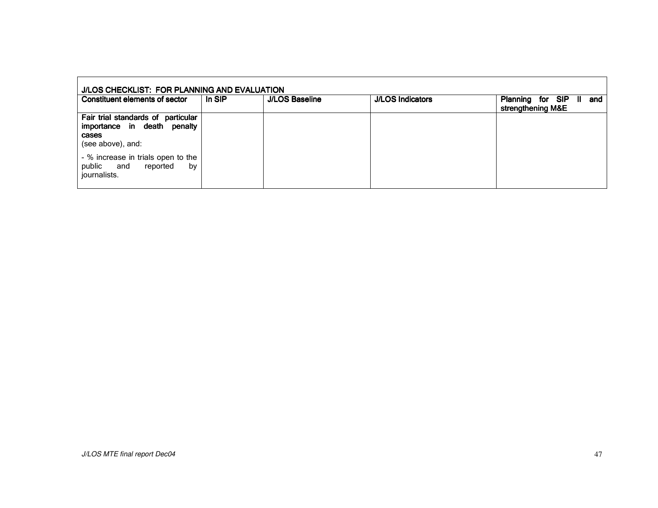| J/LOS CHECKLIST: FOR PLANNING AND EVALUATION                                                    |        |                       |                         |                                                   |  |  |
|-------------------------------------------------------------------------------------------------|--------|-----------------------|-------------------------|---------------------------------------------------|--|--|
| Constituent elements of sector                                                                  | In SIP | <b>J/LOS Baseline</b> | <b>J/LOS Indicators</b> | Planning for SIP<br>and<br>Ш<br>strengthening M&E |  |  |
| Fair trial standards of particular<br>importance in death penalty<br>cases<br>(see above), and: |        |                       |                         |                                                   |  |  |
| - % increase in trials open to the<br>public and<br>reported<br>by<br>journalists.              |        |                       |                         |                                                   |  |  |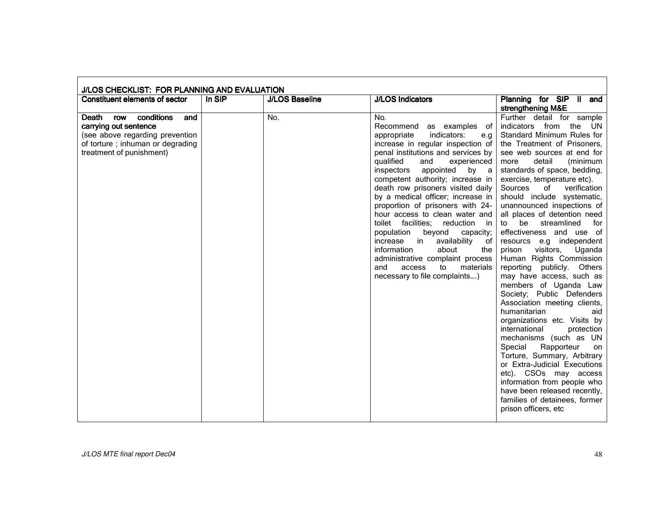| J/LOS CHECKLIST: FOR PLANNING AND EVALUATION                                                                                                               |        |                       |                                                                                                                                                                                                                                                                                                                                                                                                                                                                                                                                                                                                                                                                                    |                                                                                                                                                                                                                                                                                                                                                                                                                                                                                                                                                                                                                                                                                                                                                                                                                                                                                                                                                                                                                                                      |  |  |
|------------------------------------------------------------------------------------------------------------------------------------------------------------|--------|-----------------------|------------------------------------------------------------------------------------------------------------------------------------------------------------------------------------------------------------------------------------------------------------------------------------------------------------------------------------------------------------------------------------------------------------------------------------------------------------------------------------------------------------------------------------------------------------------------------------------------------------------------------------------------------------------------------------|------------------------------------------------------------------------------------------------------------------------------------------------------------------------------------------------------------------------------------------------------------------------------------------------------------------------------------------------------------------------------------------------------------------------------------------------------------------------------------------------------------------------------------------------------------------------------------------------------------------------------------------------------------------------------------------------------------------------------------------------------------------------------------------------------------------------------------------------------------------------------------------------------------------------------------------------------------------------------------------------------------------------------------------------------|--|--|
| <b>Constituent elements of sector</b>                                                                                                                      | In SIP | <b>J/LOS Baseline</b> | <b>J/LOS Indicators</b>                                                                                                                                                                                                                                                                                                                                                                                                                                                                                                                                                                                                                                                            | Planning for SIP II and<br>strengthening M&E                                                                                                                                                                                                                                                                                                                                                                                                                                                                                                                                                                                                                                                                                                                                                                                                                                                                                                                                                                                                         |  |  |
| conditions<br>Death row<br>and<br>carrying out sentence<br>(see above regarding prevention<br>of torture; inhuman or degrading<br>treatment of punishment) |        | No.                   | No.<br>Recommend as examples of<br>indicators:<br>appropriate<br>e.g<br>increase in regular inspection of<br>penal institutions and services by<br>qualified<br>and<br>experienced<br>appointed<br>inspectors<br>by a<br>competent authority; increase in<br>death row prisoners visited daily<br>by a medical officer; increase in<br>proportion of prisoners with 24-<br>hour access to clean water and<br>toilet facilities; reduction<br>in in<br>population<br>beyond<br>capacity;<br>availability<br>increase<br>$\mathsf{in}$<br>of<br>about<br>information<br>the<br>administrative complaint process<br>materials<br>access<br>to<br>and<br>necessary to file complaints) | Further detail for sample<br>indicators from<br>the<br>UN.<br>Standard Minimum Rules for<br>the Treatment of Prisoners,<br>see web sources at end for<br>detail<br>(minimum<br>more<br>standards of space, bedding,<br>exercise, temperature etc).<br>Sources<br>of<br>verification<br>should include systematic,<br>unannounced inspections of<br>all places of detention need<br>be<br>streamlined<br>for<br>to<br>effectiveness and use of<br>resourcs e.g independent<br>visitors,<br>Uganda<br>prison<br>Human Rights Commission<br>reporting publicly. Others<br>may have access, such as<br>members of Uganda Law<br>Society; Public Defenders<br>Association meeting clients,<br>humanitarian<br>aid<br>organizations etc. Visits by<br>international<br>protection<br>mechanisms (such as UN<br>Rapporteur<br>Special<br>on<br>Torture, Summary, Arbitrary<br>or Extra-Judicial Executions<br>etc). CSOs may access<br>information from people who<br>have been released recently,<br>families of detainees, former<br>prison officers, etc |  |  |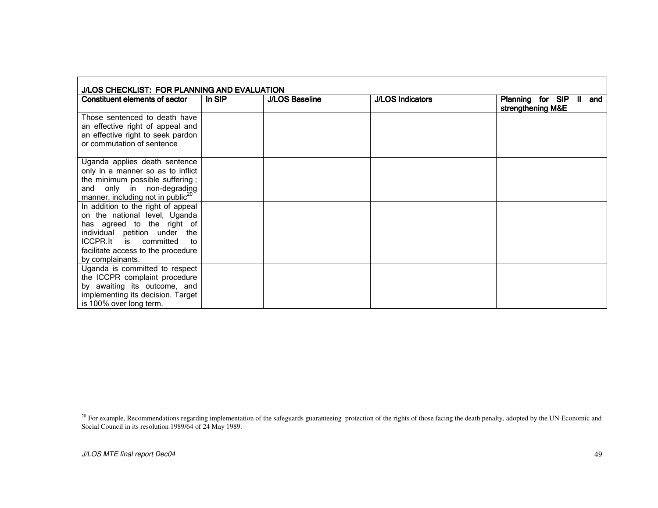| J/LOS CHECKLIST: FOR PLANNING AND EVALUATION                                                                                         |        |                       |                         |                                              |  |  |
|--------------------------------------------------------------------------------------------------------------------------------------|--------|-----------------------|-------------------------|----------------------------------------------|--|--|
| Constituent elements of sector                                                                                                       | In SIP | <b>J/LOS Baseline</b> | <b>J/LOS Indicators</b> | Planning for SIP II and<br>strengthening M&E |  |  |
| Those sentenced to death have<br>an effective right of appeal and<br>an effective right to seek pardon<br>or commutation of sentence |        |                       |                         |                                              |  |  |
| Uganda applies death sentence                                                                                                        |        |                       |                         |                                              |  |  |
| only in a manner so as to inflict                                                                                                    |        |                       |                         |                                              |  |  |
| the minimum possible suffering;                                                                                                      |        |                       |                         |                                              |  |  |
| and only in non-degrading                                                                                                            |        |                       |                         |                                              |  |  |
| manner, including not in public <sup>20</sup>                                                                                        |        |                       |                         |                                              |  |  |
| In addition to the right of appeal                                                                                                   |        |                       |                         |                                              |  |  |
| on the national level, Uganda                                                                                                        |        |                       |                         |                                              |  |  |
| has agreed to the right of<br>individual petition under the                                                                          |        |                       |                         |                                              |  |  |
| ICCPR.It is committed<br>to                                                                                                          |        |                       |                         |                                              |  |  |
| facilitate access to the procedure                                                                                                   |        |                       |                         |                                              |  |  |
| by complainants.                                                                                                                     |        |                       |                         |                                              |  |  |
| Uganda is committed to respect                                                                                                       |        |                       |                         |                                              |  |  |
| the ICCPR complaint procedure                                                                                                        |        |                       |                         |                                              |  |  |
| by awaiting its outcome, and                                                                                                         |        |                       |                         |                                              |  |  |
| implementing its decision. Target                                                                                                    |        |                       |                         |                                              |  |  |
| is 100% over long term.                                                                                                              |        |                       |                         |                                              |  |  |

 $^{20}$  For example, Recommendations regarding implementation of the safeguards guaranteeing protection of the rights of those facing the death penalty, adopted by the UN Economic and Social Council in its resolution 1989/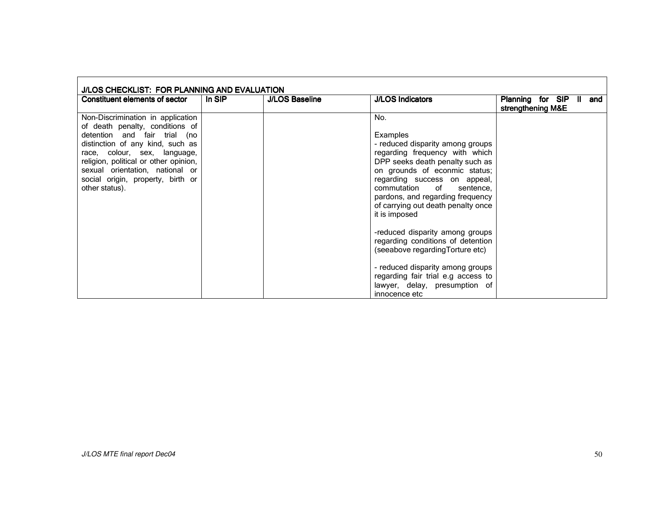| J/LOS CHECKLIST: FOR PLANNING AND EVALUATION                                                                                                                                                                                                                                                                |        |                       |                                                                                                                                                                                                                                                                                                                                                                                                                                                                     |                                              |  |  |
|-------------------------------------------------------------------------------------------------------------------------------------------------------------------------------------------------------------------------------------------------------------------------------------------------------------|--------|-----------------------|---------------------------------------------------------------------------------------------------------------------------------------------------------------------------------------------------------------------------------------------------------------------------------------------------------------------------------------------------------------------------------------------------------------------------------------------------------------------|----------------------------------------------|--|--|
| Constituent elements of sector                                                                                                                                                                                                                                                                              | In SIP | <b>J/LOS Baseline</b> | <b>J/LOS Indicators</b>                                                                                                                                                                                                                                                                                                                                                                                                                                             | Planning for SIP<br>and<br>strengthening M&E |  |  |
| Non-Discrimination in application<br>of death penalty, conditions of<br>detention and fair trial (no<br>distinction of any kind, such as<br>race, colour, sex, language,<br>religion, political or other opinion,<br>sexual orientation, national or<br>social origin, property, birth or<br>other status). |        |                       | No.<br>Examples<br>- reduced disparity among groups<br>regarding frequency with which<br>DPP seeks death penalty such as<br>on grounds of econmic status;<br>regarding success on appeal,<br>commutation of<br>sentence,<br>pardons, and regarding frequency<br>of carrying out death penalty once<br>it is imposed<br>-reduced disparity among groups<br>regarding conditions of detention<br>(seeabove regarding Torture etc)<br>- reduced disparity among groups |                                              |  |  |
|                                                                                                                                                                                                                                                                                                             |        |                       | regarding fair trial e.g access to<br>lawyer, delay, presumption of<br>innocence etc                                                                                                                                                                                                                                                                                                                                                                                |                                              |  |  |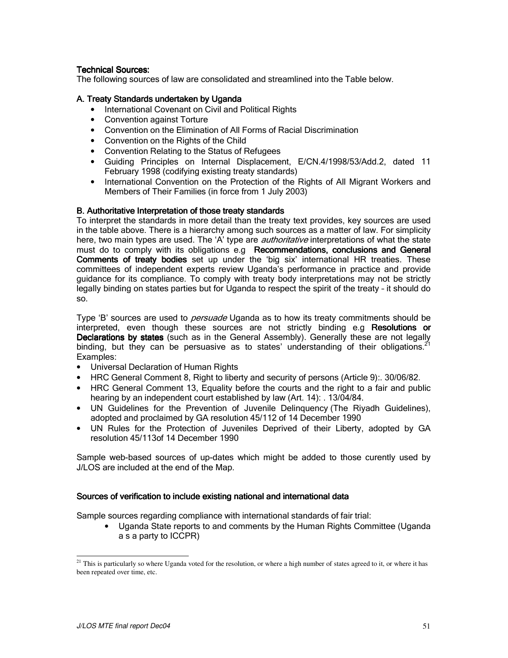## **Technical Sources:**

The following sources of law are consolidated and streamlined into the Table below.

## A. Treaty Standards undertaken by Uganda

- International Covenant on Civil and Political Rights
- Convention against Torture
- Convention on the Elimination of All Forms of Racial Discrimination
- Convention on the Rights of the Child
- Convention Relating to the Status of Refugees
- Guiding Principles on Internal Displacement, E/CN.4/1998/53/Add.2, dated 11 February 1998 (codifying existing treaty standards)
- International Convention on the Protection of the Rights of All Migrant Workers and Members of Their Families (in force from 1 July 2003)

# B. Authoritative Interpretation of those treaty standards

To interpret the standards in more detail than the treaty text provides, key sources are used in the table above. There is a hierarchy among such sources as a matter of law. For simplicity here, two main types are used. The 'A' type are *authoritative* interpretations of what the state must do to comply with its obligations e.g Recommendations, conclusions and General Comments of treaty bodies set up under the 'big six' international HR treaties. These committees of independent experts review Uganda's performance in practice and provide guidance for its compliance. To comply with treaty body interpretations may not be strictly legally binding on states parties but for Uganda to respect the spirit of the treaty - it should do SO.

Type 'B' sources are used to *persuade* Uganda as to how its treaty commitments should be interpreted, even though these sources are not strictly binding e.g Resolutions or Declarations by states (such as in the General Assembly). Generally these are not legally binding, but they can be persuasive as to states' understanding of their obligations. Examples:

- Universal Declaration of Human Rights
- HRC General Comment 8, Right to liberty and security of persons (Article 9): 30/06/82.
- HRC General Comment 13, Equality before the courts and the right to a fair and public hearing by an independent court established by law (Art. 14): . 13/04/84.
- UN Guidelines for the Prevention of Juvenile Delinguency (The Riyadh Guidelines), adopted and proclaimed by GA resolution 45/112 of 14 December 1990
- UN Rules for the Protection of Juveniles Deprived of their Liberty, adopted by GA resolution 45/113of 14 December 1990

Sample web-based sources of up-dates which might be added to those curently used by J/LOS are included at the end of the Map.

### Sources of verification to include existing national and international data

Sample sources regarding compliance with international standards of fair trial:

• Uganda State reports to and comments by the Human Rights Committee (Uganda a s a party to ICCPR)

<sup>&</sup>lt;sup>21</sup> This is particularly so where Uganda voted for the resolution, or where a high number of states agreed to it, or where it has been repeated over time, etc.